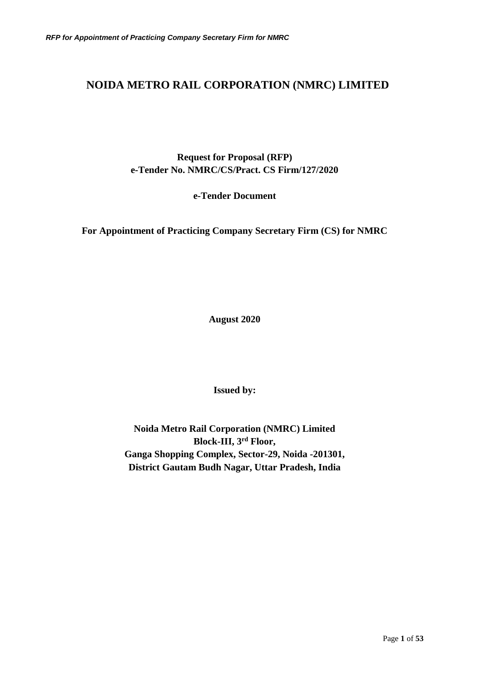## **NOIDA METRO RAIL CORPORATION (NMRC) LIMITED**

**Request for Proposal (RFP) e-Tender No. NMRC/CS/Pract. CS Firm/127/2020**

**e-Tender Document** 

**For Appointment of Practicing Company Secretary Firm (CS) for NMRC**

**August 2020**

**Issued by:**

**Noida Metro Rail Corporation (NMRC) Limited Block-III, 3rd Floor, Ganga Shopping Complex, Sector-29, Noida -201301, District Gautam Budh Nagar, Uttar Pradesh, India**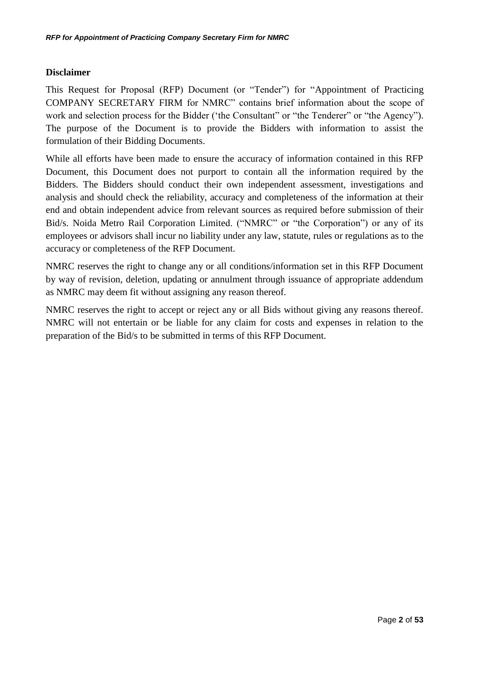## **Disclaimer**

This Request for Proposal (RFP) Document (or "Tender") for "Appointment of Practicing COMPANY SECRETARY FIRM for NMRC" contains brief information about the scope of work and selection process for the Bidder ('the Consultant'' or "the Tenderer" or "the Agency"). The purpose of the Document is to provide the Bidders with information to assist the formulation of their Bidding Documents.

While all efforts have been made to ensure the accuracy of information contained in this RFP Document, this Document does not purport to contain all the information required by the Bidders. The Bidders should conduct their own independent assessment, investigations and analysis and should check the reliability, accuracy and completeness of the information at their end and obtain independent advice from relevant sources as required before submission of their Bid/s. Noida Metro Rail Corporation Limited. ("NMRC" or "the Corporation") or any of its employees or advisors shall incur no liability under any law, statute, rules or regulations as to the accuracy or completeness of the RFP Document.

NMRC reserves the right to change any or all conditions/information set in this RFP Document by way of revision, deletion, updating or annulment through issuance of appropriate addendum as NMRC may deem fit without assigning any reason thereof.

NMRC reserves the right to accept or reject any or all Bids without giving any reasons thereof. NMRC will not entertain or be liable for any claim for costs and expenses in relation to the preparation of the Bid/s to be submitted in terms of this RFP Document.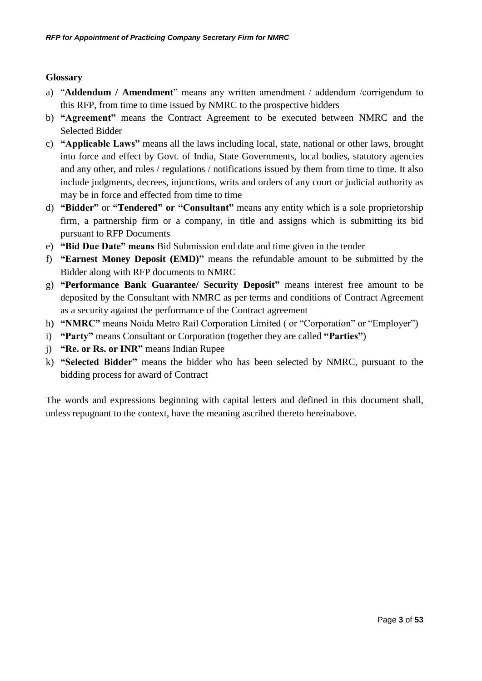## **Glossary**

- a) "**Addendum / Amendment**" means any written amendment / addendum /corrigendum to this RFP, from time to time issued by NMRC to the prospective bidders
- b) **"Agreement"** means the Contract Agreement to be executed between NMRC and the Selected Bidder
- c) **"Applicable Laws"** means all the laws including local, state, national or other laws, brought into force and effect by Govt. of India, State Governments, local bodies, statutory agencies and any other, and rules / regulations / notifications issued by them from time to time. It also include judgments, decrees, injunctions, writs and orders of any court or judicial authority as may be in force and effected from time to time
- d) **"Bidder"** or **"Tendered" or "Consultant"** means any entity which is a sole proprietorship firm, a partnership firm or a company, in title and assigns which is submitting its bid pursuant to RFP Documents
- e) **"Bid Due Date" means** Bid Submission end date and time given in the tender
- f) **"Earnest Money Deposit (EMD)"** means the refundable amount to be submitted by the Bidder along with RFP documents to NMRC
- g) **"Performance Bank Guarantee/ Security Deposit"** means interest free amount to be deposited by the Consultant with NMRC as per terms and conditions of Contract Agreement as a security against the performance of the Contract agreement
- h) **"NMRC"** means Noida Metro Rail Corporation Limited ( or "Corporation" or "Employer")
- i) **"Party"** means Consultant or Corporation (together they are called **"Parties"**)
- j) **"Re. or Rs. or INR"** means Indian Rupee
- k) **"Selected Bidder"** means the bidder who has been selected by NMRC, pursuant to the bidding process for award of Contract

The words and expressions beginning with capital letters and defined in this document shall, unless repugnant to the context, have the meaning ascribed thereto hereinabove.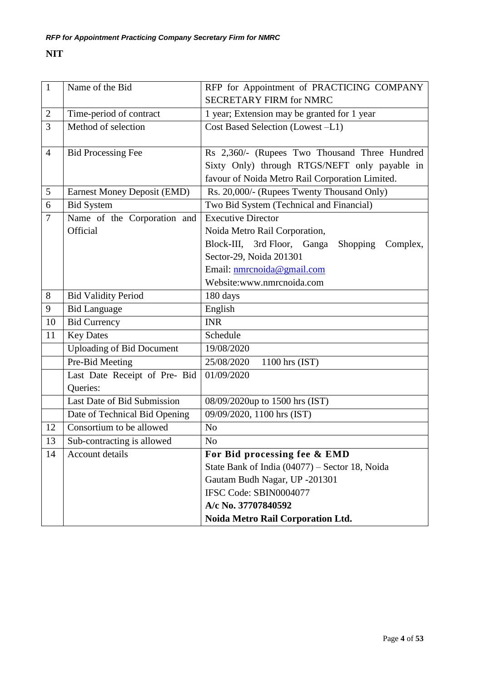## **NIT**

| $\mathbf{1}$   | Name of the Bid                    | RFP for Appointment of PRACTICING COMPANY                  |
|----------------|------------------------------------|------------------------------------------------------------|
|                |                                    | <b>SECRETARY FIRM for NMRC</b>                             |
| $\overline{2}$ | Time-period of contract            | 1 year; Extension may be granted for 1 year                |
| 3              | Method of selection                | Cost Based Selection (Lowest -L1)                          |
|                |                                    |                                                            |
| $\overline{4}$ | <b>Bid Processing Fee</b>          | Rs 2,360/- (Rupees Two Thousand Three Hundred              |
|                |                                    | Sixty Only) through RTGS/NEFT only payable in              |
|                |                                    | favour of Noida Metro Rail Corporation Limited.            |
| 5              | <b>Earnest Money Deposit (EMD)</b> | Rs. 20,000/- (Rupees Twenty Thousand Only)                 |
| 6              | <b>Bid System</b>                  | Two Bid System (Technical and Financial)                   |
| $\overline{7}$ | Name of the Corporation and        | Executive Director                                         |
|                | Official                           | Noida Metro Rail Corporation,                              |
|                |                                    | Block-III, 3rd Floor, Ganga<br><b>Shopping</b><br>Complex, |
|                |                                    | Sector-29, Noida 201301                                    |
|                |                                    | Email: nmrcnoida@gmail.com                                 |
|                |                                    | Website:www.nmrcnoida.com                                  |
| 8              | <b>Bid Validity Period</b>         | 180 days                                                   |
| 9              | <b>Bid Language</b>                | English                                                    |
| 10             | <b>Bid Currency</b>                | <b>INR</b>                                                 |
| 11             | <b>Key Dates</b>                   | Schedule                                                   |
|                | <b>Uploading of Bid Document</b>   | 19/08/2020                                                 |
|                | Pre-Bid Meeting                    | 25/08/2020<br>1100 hrs (IST)                               |
|                | Last Date Receipt of Pre- Bid      | 01/09/2020                                                 |
|                | Queries:                           |                                                            |
|                | Last Date of Bid Submission        | 08/09/2020up to 1500 hrs (IST)                             |
|                | Date of Technical Bid Opening      | 09/09/2020, 1100 hrs (IST)                                 |
| 12             | Consortium to be allowed           | N <sub>o</sub>                                             |
| 13             | Sub-contracting is allowed         | No                                                         |
| 14             | Account details                    | For Bid processing fee & EMD                               |
|                |                                    | State Bank of India (04077) – Sector 18, Noida             |
|                |                                    | Gautam Budh Nagar, UP -201301                              |
|                |                                    | IFSC Code: SBIN0004077                                     |
|                |                                    | A/c No. 37707840592                                        |
|                |                                    | Noida Metro Rail Corporation Ltd.                          |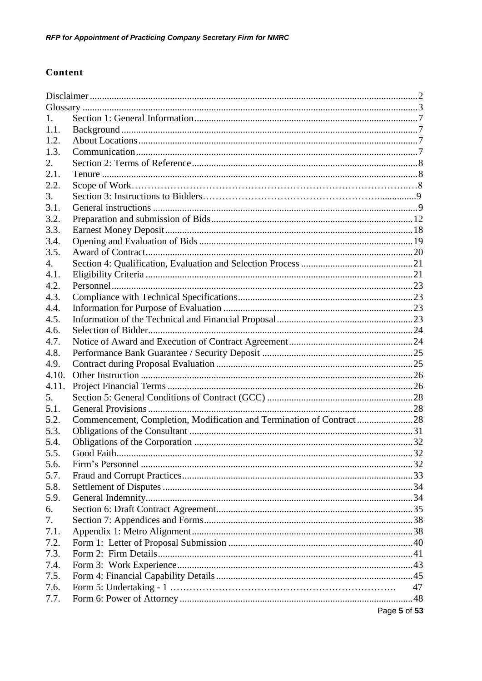## Content

| 1.          |                                                                      |              |
|-------------|----------------------------------------------------------------------|--------------|
| 1.1.        |                                                                      |              |
| 1.2.        |                                                                      |              |
| 1.3.        |                                                                      |              |
| 2.          |                                                                      |              |
| 2.1.        |                                                                      |              |
| 2.2.        |                                                                      |              |
| 3.          |                                                                      |              |
| 3.1.        |                                                                      |              |
| 3.2.        |                                                                      |              |
| 3.3.        |                                                                      |              |
| 3.4.        |                                                                      |              |
| 3.5.        |                                                                      |              |
| 4.          |                                                                      |              |
| 4.1.        |                                                                      |              |
| 4.2.        |                                                                      |              |
| 4.3.        |                                                                      |              |
| 4.4.        |                                                                      |              |
| 4.5.        |                                                                      |              |
| 4.6.        |                                                                      |              |
| 4.7.        |                                                                      |              |
| 4.8.        |                                                                      |              |
| 4.9.        |                                                                      |              |
| 4.10.       |                                                                      |              |
| 4.11.<br>5. |                                                                      |              |
| 5.1.        |                                                                      |              |
| 5.2.        | Commencement, Completion, Modification and Termination of Contract28 |              |
| 5.3.        |                                                                      |              |
| 5.4.        |                                                                      |              |
| 5.5.        |                                                                      |              |
| 5.6.        |                                                                      |              |
| 5.7.        |                                                                      |              |
| 5.8.        |                                                                      |              |
| 5.9.        |                                                                      |              |
| 6.          |                                                                      |              |
| 7.          |                                                                      |              |
| 7.1.        |                                                                      |              |
| 7.2.        |                                                                      |              |
| 7.3.        |                                                                      |              |
| 7.4.        |                                                                      |              |
| 7.5.        |                                                                      |              |
| 7.6.        |                                                                      | 47           |
| 7.7.        |                                                                      |              |
|             |                                                                      | Page 5 of 53 |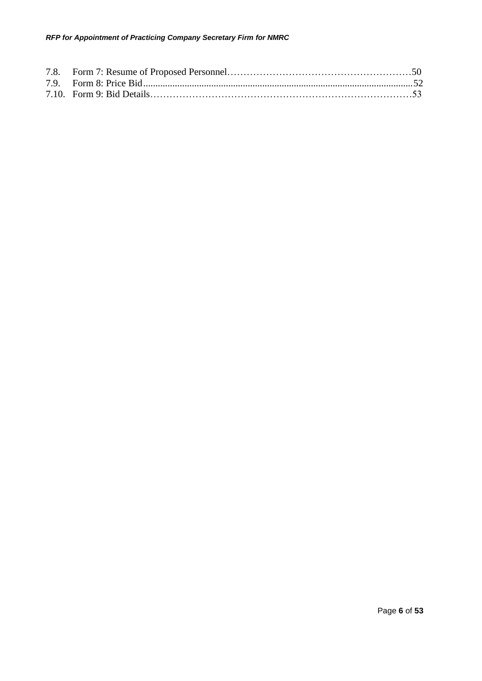#### *RFP for Appointment of Practicing Company Secretary Firm for NMRC*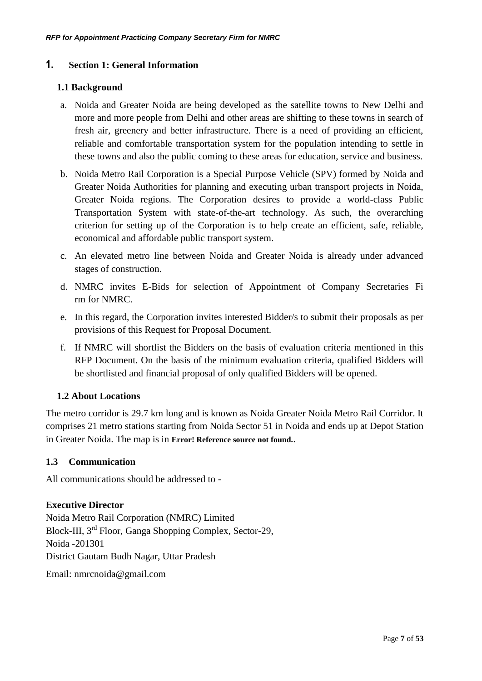## <span id="page-6-0"></span>**1. Section 1: General Information**

## **1.1 Background**

- a. Noida and Greater Noida are being developed as the satellite towns to New Delhi and more and more people from Delhi and other areas are shifting to these towns in search of fresh air, greenery and better infrastructure. There is a need of providing an efficient, reliable and comfortable transportation system for the population intending to settle in these towns and also the public coming to these areas for education, service and business.
- b. Noida Metro Rail Corporation is a Special Purpose Vehicle (SPV) formed by Noida and Greater Noida Authorities for planning and executing urban transport projects in Noida, Greater Noida regions. The Corporation desires to provide a world-class Public Transportation System with state-of-the-art technology. As such, the overarching criterion for setting up of the Corporation is to help create an efficient, safe, reliable, economical and affordable public transport system.
- c. An elevated metro line between Noida and Greater Noida is already under advanced stages of construction.
- d. NMRC invites E-Bids for selection of Appointment of Company Secretaries Fi rm for NMRC.
- e. In this regard, the Corporation invites interested Bidder/s to submit their proposals as per provisions of this Request for Proposal Document.
- f. If NMRC will shortlist the Bidders on the basis of evaluation criteria mentioned in this RFP Document. On the basis of the minimum evaluation criteria, qualified Bidders will be shortlisted and financial proposal of only qualified Bidders will be opened.

## **1.2 About Locations**

The metro corridor is 29.7 km long and is known as Noida Greater Noida Metro Rail Corridor. It comprises 21 metro stations starting from Noida Sector 51 in Noida and ends up at Depot Station in Greater Noida. The map is in **Error! Reference source not found.**.

## **1.3 Communication**

All communications should be addressed to -

## **Executive Director**

Noida Metro Rail Corporation (NMRC) Limited Block-III, 3rd Floor, Ganga Shopping Complex, Sector-29, Noida -201301 District Gautam Budh Nagar, Uttar Pradesh

Email: nmrcnoida@gmail.com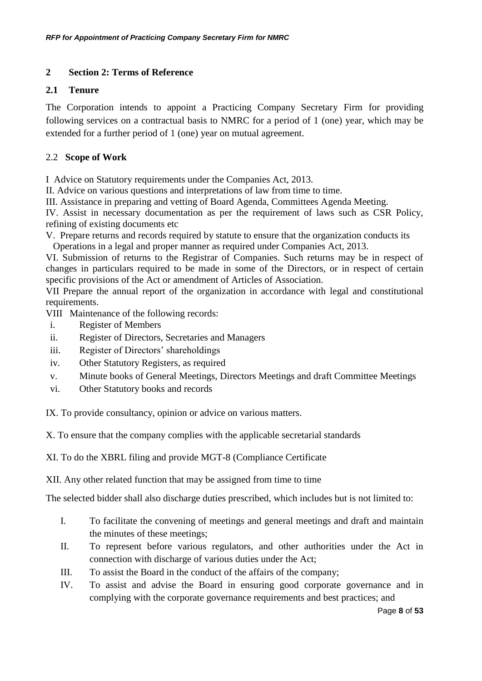## <span id="page-7-0"></span>**2 Section 2: Terms of Reference**

## **2.1 Tenure**

The Corporation intends to appoint a Practicing Company Secretary Firm for providing following services on a contractual basis to NMRC for a period of 1 (one) year, which may be extended for a further period of 1 (one) year on mutual agreement.

## 2.2 **Scope of Work**

I Advice on Statutory requirements under the Companies Act, 2013.

II. Advice on various questions and interpretations of law from time to time.

III. Assistance in preparing and vetting of Board Agenda, Committees Agenda Meeting.

IV. Assist in necessary documentation as per the requirement of laws such as CSR Policy, refining of existing documents etc

V. Prepare returns and records required by statute to ensure that the organization conducts its Operations in a legal and proper manner as required under Companies Act, 2013.

VI. Submission of returns to the Registrar of Companies. Such returns may be in respect of changes in particulars required to be made in some of the Directors, or in respect of certain specific provisions of the Act or amendment of Articles of Association.

VII Prepare the annual report of the organization in accordance with legal and constitutional requirements.

VIII Maintenance of the following records:

- i. Register of Members
- ii. Register of Directors, Secretaries and Managers
- iii. Register of Directors' shareholdings
- iv. Other Statutory Registers, as required
- v. Minute books of General Meetings, Directors Meetings and draft Committee Meetings
- vi. Other Statutory books and records

IX. To provide consultancy, opinion or advice on various matters.

X. To ensure that the company complies with the applicable secretarial standards

XI. To do the XBRL filing and provide MGT-8 (Compliance Certificate

XII. Any other related function that may be assigned from time to time

The selected bidder shall also discharge duties prescribed, which includes but is not limited to:

- I. To facilitate the convening of meetings and general meetings and draft and maintain the minutes of these meetings;
- II. To represent before various regulators, and other authorities under the Act in connection with discharge of various duties under the Act;
- III. To assist the Board in the conduct of the affairs of the company;
- IV. To assist and advise the Board in ensuring good corporate governance and in complying with the corporate governance requirements and best practices; and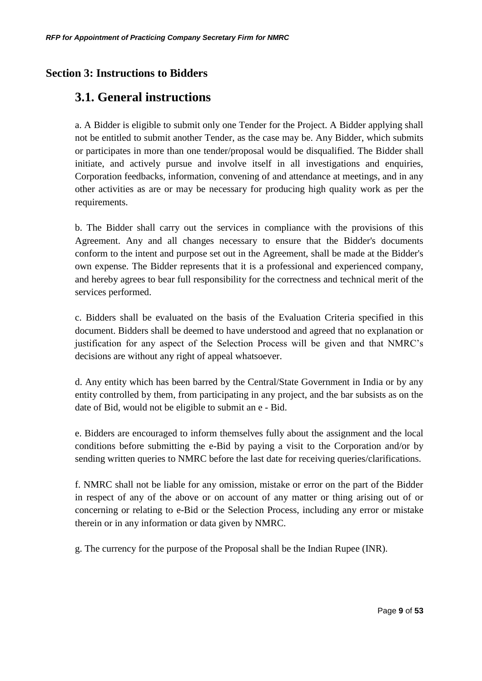## **Section 3: Instructions to Bidders**

## **3.1. General instructions**

a. A Bidder is eligible to submit only one Tender for the Project. A Bidder applying shall not be entitled to submit another Tender, as the case may be. Any Bidder, which submits or participates in more than one tender/proposal would be disqualified. The Bidder shall initiate, and actively pursue and involve itself in all investigations and enquiries, Corporation feedbacks, information, convening of and attendance at meetings, and in any other activities as are or may be necessary for producing high quality work as per the requirements.

b. The Bidder shall carry out the services in compliance with the provisions of this Agreement. Any and all changes necessary to ensure that the Bidder's documents conform to the intent and purpose set out in the Agreement, shall be made at the Bidder's own expense. The Bidder represents that it is a professional and experienced company, and hereby agrees to bear full responsibility for the correctness and technical merit of the services performed.

c. Bidders shall be evaluated on the basis of the Evaluation Criteria specified in this document. Bidders shall be deemed to have understood and agreed that no explanation or justification for any aspect of the Selection Process will be given and that NMRC's decisions are without any right of appeal whatsoever.

d. Any entity which has been barred by the Central/State Government in India or by any entity controlled by them, from participating in any project, and the bar subsists as on the date of Bid, would not be eligible to submit an e - Bid.

e. Bidders are encouraged to inform themselves fully about the assignment and the local conditions before submitting the e-Bid by paying a visit to the Corporation and/or by sending written queries to NMRC before the last date for receiving queries/clarifications.

f. NMRC shall not be liable for any omission, mistake or error on the part of the Bidder in respect of any of the above or on account of any matter or thing arising out of or concerning or relating to e-Bid or the Selection Process, including any error or mistake therein or in any information or data given by NMRC.

g. The currency for the purpose of the Proposal shall be the Indian Rupee (INR).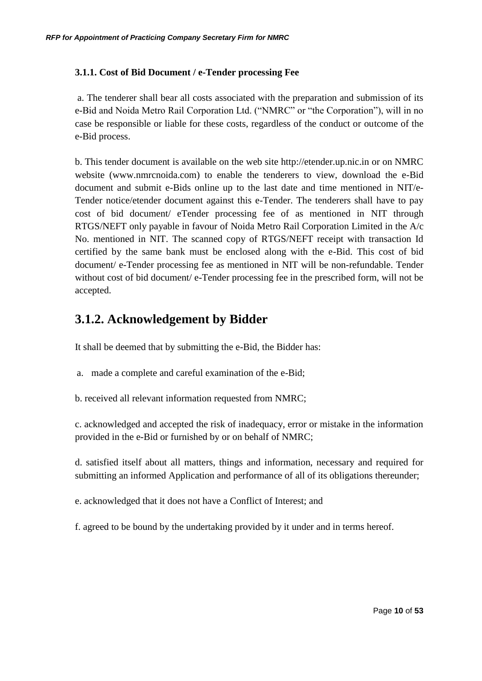## **3.1.1. Cost of Bid Document / e-Tender processing Fee**

a. The tenderer shall bear all costs associated with the preparation and submission of its e-Bid and Noida Metro Rail Corporation Ltd. ("NMRC" or "the Corporation"), will in no case be responsible or liable for these costs, regardless of the conduct or outcome of the e-Bid process.

b. This tender document is available on the web site http://etender.up.nic.in or on NMRC website (www.nmrcnoida.com) to enable the tenderers to view, download the e-Bid document and submit e-Bids online up to the last date and time mentioned in NIT/e-Tender notice/etender document against this e-Tender. The tenderers shall have to pay cost of bid document/ eTender processing fee of as mentioned in NIT through RTGS/NEFT only payable in favour of Noida Metro Rail Corporation Limited in the A/c No. mentioned in NIT. The scanned copy of RTGS/NEFT receipt with transaction Id certified by the same bank must be enclosed along with the e-Bid. This cost of bid document/ e-Tender processing fee as mentioned in NIT will be non-refundable. Tender without cost of bid document/ e-Tender processing fee in the prescribed form, will not be accepted.

## **3.1.2. Acknowledgement by Bidder**

It shall be deemed that by submitting the e-Bid, the Bidder has:

- a. made a complete and careful examination of the e-Bid;
- b. received all relevant information requested from NMRC;

c. acknowledged and accepted the risk of inadequacy, error or mistake in the information provided in the e-Bid or furnished by or on behalf of NMRC;

d. satisfied itself about all matters, things and information, necessary and required for submitting an informed Application and performance of all of its obligations thereunder;

e. acknowledged that it does not have a Conflict of Interest; and

f. agreed to be bound by the undertaking provided by it under and in terms hereof.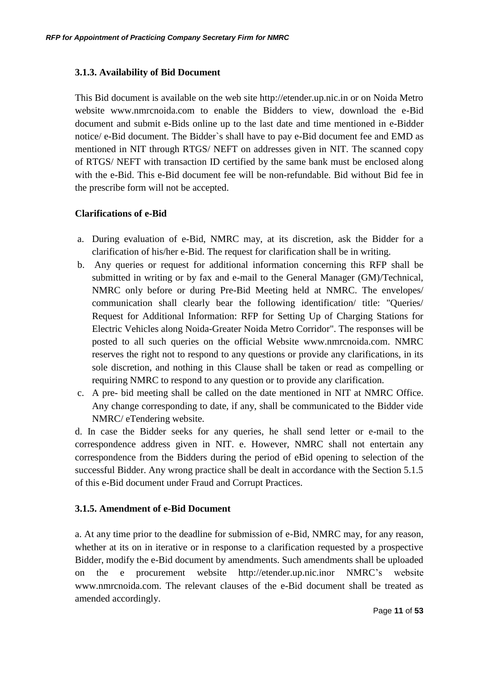## **3.1.3. Availability of Bid Document**

This Bid document is available on the web site http://etender.up.nic.in or on Noida Metro website www.nmrcnoida.com to enable the Bidders to view, download the e-Bid document and submit e-Bids online up to the last date and time mentioned in e-Bidder notice/ e-Bid document. The Bidder`s shall have to pay e-Bid document fee and EMD as mentioned in NIT through RTGS/ NEFT on addresses given in NIT. The scanned copy of RTGS/ NEFT with transaction ID certified by the same bank must be enclosed along with the e-Bid. This e-Bid document fee will be non-refundable. Bid without Bid fee in the prescribe form will not be accepted.

## **Clarifications of e-Bid**

- a. During evaluation of e-Bid, NMRC may, at its discretion, ask the Bidder for a clarification of his/her e-Bid. The request for clarification shall be in writing.
- b. Any queries or request for additional information concerning this RFP shall be submitted in writing or by fax and e-mail to the General Manager (GM)/Technical, NMRC only before or during Pre-Bid Meeting held at NMRC. The envelopes/ communication shall clearly bear the following identification/ title: "Queries/ Request for Additional Information: RFP for Setting Up of Charging Stations for Electric Vehicles along Noida-Greater Noida Metro Corridor". The responses will be posted to all such queries on the official Website www.nmrcnoida.com. NMRC reserves the right not to respond to any questions or provide any clarifications, in its sole discretion, and nothing in this Clause shall be taken or read as compelling or requiring NMRC to respond to any question or to provide any clarification.
- c. A pre- bid meeting shall be called on the date mentioned in NIT at NMRC Office. Any change corresponding to date, if any, shall be communicated to the Bidder vide NMRC/ eTendering website.

d. In case the Bidder seeks for any queries, he shall send letter or e-mail to the correspondence address given in NIT. e. However, NMRC shall not entertain any correspondence from the Bidders during the period of eBid opening to selection of the successful Bidder. Any wrong practice shall be dealt in accordance with the Section 5.1.5 of this e-Bid document under Fraud and Corrupt Practices.

## **3.1.5. Amendment of e-Bid Document**

a. At any time prior to the deadline for submission of e-Bid, NMRC may, for any reason, whether at its on in iterative or in response to a clarification requested by a prospective Bidder, modify the e-Bid document by amendments. Such amendments shall be uploaded on the e procurement website http://etender.up.nic.inor NMRC's website www.nmrcnoida.com. The relevant clauses of the e-Bid document shall be treated as amended accordingly.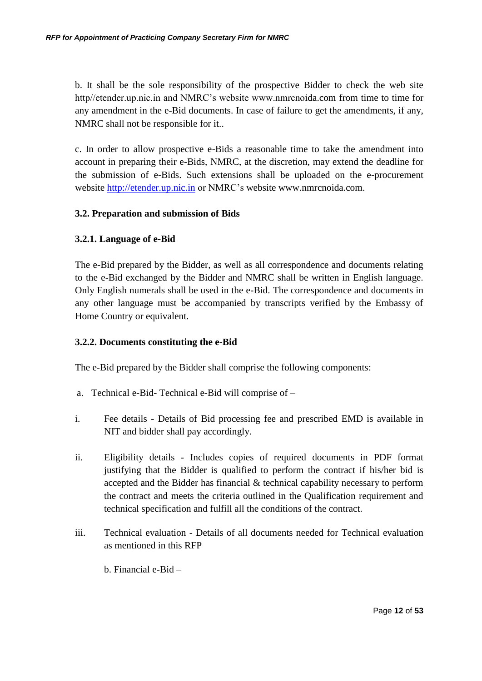b. It shall be the sole responsibility of the prospective Bidder to check the web site http//etender.up.nic.in and NMRC's website www.nmrcnoida.com from time to time for any amendment in the e-Bid documents. In case of failure to get the amendments, if any, NMRC shall not be responsible for it..

c. In order to allow prospective e-Bids a reasonable time to take the amendment into account in preparing their e-Bids, NMRC, at the discretion, may extend the deadline for the submission of e-Bids. Such extensions shall be uploaded on the e-procurement website [http://etender.up.nic.in](http://etender.up.nic.in/) or NMRC's website www.nmrcnoida.com.

## **3.2. Preparation and submission of Bids**

## **3.2.1. Language of e-Bid**

The e-Bid prepared by the Bidder, as well as all correspondence and documents relating to the e-Bid exchanged by the Bidder and NMRC shall be written in English language. Only English numerals shall be used in the e-Bid. The correspondence and documents in any other language must be accompanied by transcripts verified by the Embassy of Home Country or equivalent.

## **3.2.2. Documents constituting the e-Bid**

The e-Bid prepared by the Bidder shall comprise the following components:

- a. Technical e-Bid- Technical e-Bid will comprise of –
- i. Fee details Details of Bid processing fee and prescribed EMD is available in NIT and bidder shall pay accordingly.
- ii. Eligibility details Includes copies of required documents in PDF format justifying that the Bidder is qualified to perform the contract if his/her bid is accepted and the Bidder has financial & technical capability necessary to perform the contract and meets the criteria outlined in the Qualification requirement and technical specification and fulfill all the conditions of the contract.
- iii. Technical evaluation Details of all documents needed for Technical evaluation as mentioned in this RFP

b. Financial e-Bid –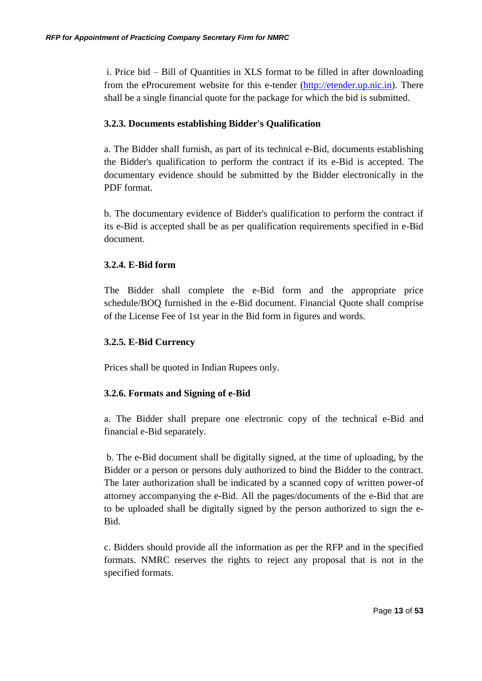i. Price bid – Bill of Quantities in XLS format to be filled in after downloading from the eProcurement website for this e-tender [\(http://etender.up.nic.in\)](http://etender.up.nic.in/). There shall be a single financial quote for the package for which the bid is submitted.

## **3.2.3. Documents establishing Bidder's Qualification**

a. The Bidder shall furnish, as part of its technical e-Bid, documents establishing the Bidder's qualification to perform the contract if its e-Bid is accepted. The documentary evidence should be submitted by the Bidder electronically in the PDF format.

b. The documentary evidence of Bidder's qualification to perform the contract if its e-Bid is accepted shall be as per qualification requirements specified in e-Bid document.

## **3.2.4. E-Bid form**

The Bidder shall complete the e-Bid form and the appropriate price schedule/BOQ furnished in the e-Bid document. Financial Quote shall comprise of the License Fee of 1st year in the Bid form in figures and words.

## **3.2.5. E-Bid Currency**

Prices shall be quoted in Indian Rupees only.

## **3.2.6. Formats and Signing of e-Bid**

a. The Bidder shall prepare one electronic copy of the technical e-Bid and financial e-Bid separately.

b. The e-Bid document shall be digitally signed, at the time of uploading, by the Bidder or a person or persons duly authorized to bind the Bidder to the contract. The later authorization shall be indicated by a scanned copy of written power-of attorney accompanying the e-Bid. All the pages/documents of the e-Bid that are to be uploaded shall be digitally signed by the person authorized to sign the e-Bid.

c. Bidders should provide all the information as per the RFP and in the specified formats. NMRC reserves the rights to reject any proposal that is not in the specified formats.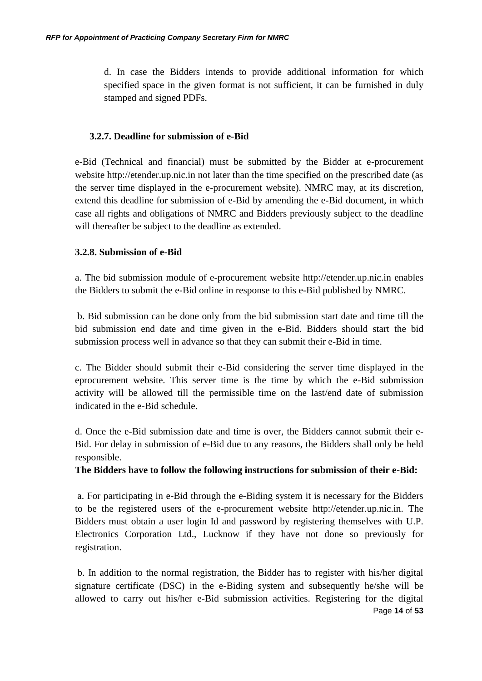d. In case the Bidders intends to provide additional information for which specified space in the given format is not sufficient, it can be furnished in duly stamped and signed PDFs.

#### **3.2.7. Deadline for submission of e-Bid**

e-Bid (Technical and financial) must be submitted by the Bidder at e-procurement website http://etender.up.nic.in not later than the time specified on the prescribed date (as the server time displayed in the e-procurement website). NMRC may, at its discretion, extend this deadline for submission of e-Bid by amending the e-Bid document, in which case all rights and obligations of NMRC and Bidders previously subject to the deadline will thereafter be subject to the deadline as extended.

## **3.2.8. Submission of e-Bid**

a. The bid submission module of e-procurement website http://etender.up.nic.in enables the Bidders to submit the e-Bid online in response to this e-Bid published by NMRC.

b. Bid submission can be done only from the bid submission start date and time till the bid submission end date and time given in the e-Bid. Bidders should start the bid submission process well in advance so that they can submit their e-Bid in time.

c. The Bidder should submit their e-Bid considering the server time displayed in the eprocurement website. This server time is the time by which the e-Bid submission activity will be allowed till the permissible time on the last/end date of submission indicated in the e-Bid schedule.

d. Once the e-Bid submission date and time is over, the Bidders cannot submit their e-Bid. For delay in submission of e-Bid due to any reasons, the Bidders shall only be held responsible.

## **The Bidders have to follow the following instructions for submission of their e-Bid:**

a. For participating in e-Bid through the e-Biding system it is necessary for the Bidders to be the registered users of the e-procurement website http://etender.up.nic.in. The Bidders must obtain a user login Id and password by registering themselves with U.P. Electronics Corporation Ltd., Lucknow if they have not done so previously for registration.

Page **14** of **53** b. In addition to the normal registration, the Bidder has to register with his/her digital signature certificate (DSC) in the e-Biding system and subsequently he/she will be allowed to carry out his/her e-Bid submission activities. Registering for the digital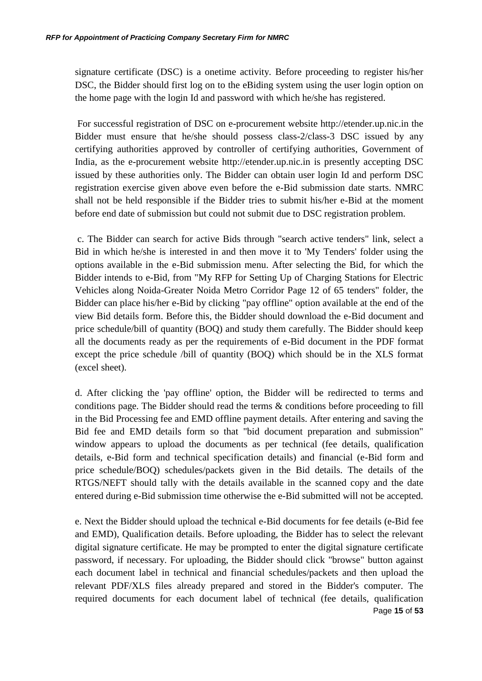signature certificate (DSC) is a onetime activity. Before proceeding to register his/her DSC, the Bidder should first log on to the eBiding system using the user login option on the home page with the login Id and password with which he/she has registered.

For successful registration of DSC on e-procurement website http://etender.up.nic.in the Bidder must ensure that he/she should possess class-2/class-3 DSC issued by any certifying authorities approved by controller of certifying authorities, Government of India, as the e-procurement website http://etender.up.nic.in is presently accepting DSC issued by these authorities only. The Bidder can obtain user login Id and perform DSC registration exercise given above even before the e-Bid submission date starts. NMRC shall not be held responsible if the Bidder tries to submit his/her e-Bid at the moment before end date of submission but could not submit due to DSC registration problem.

c. The Bidder can search for active Bids through "search active tenders" link, select a Bid in which he/she is interested in and then move it to 'My Tenders' folder using the options available in the e-Bid submission menu. After selecting the Bid, for which the Bidder intends to e-Bid, from "My RFP for Setting Up of Charging Stations for Electric Vehicles along Noida-Greater Noida Metro Corridor Page 12 of 65 tenders" folder, the Bidder can place his/her e-Bid by clicking "pay offline" option available at the end of the view Bid details form. Before this, the Bidder should download the e-Bid document and price schedule/bill of quantity (BOQ) and study them carefully. The Bidder should keep all the documents ready as per the requirements of e-Bid document in the PDF format except the price schedule /bill of quantity (BOQ) which should be in the XLS format (excel sheet).

d. After clicking the 'pay offline' option, the Bidder will be redirected to terms and conditions page. The Bidder should read the terms & conditions before proceeding to fill in the Bid Processing fee and EMD offline payment details. After entering and saving the Bid fee and EMD details form so that "bid document preparation and submission" window appears to upload the documents as per technical (fee details, qualification details, e-Bid form and technical specification details) and financial (e-Bid form and price schedule/BOQ) schedules/packets given in the Bid details. The details of the RTGS/NEFT should tally with the details available in the scanned copy and the date entered during e-Bid submission time otherwise the e-Bid submitted will not be accepted.

Page **15** of **53** e. Next the Bidder should upload the technical e-Bid documents for fee details (e-Bid fee and EMD), Qualification details. Before uploading, the Bidder has to select the relevant digital signature certificate. He may be prompted to enter the digital signature certificate password, if necessary. For uploading, the Bidder should click "browse" button against each document label in technical and financial schedules/packets and then upload the relevant PDF/XLS files already prepared and stored in the Bidder's computer. The required documents for each document label of technical (fee details, qualification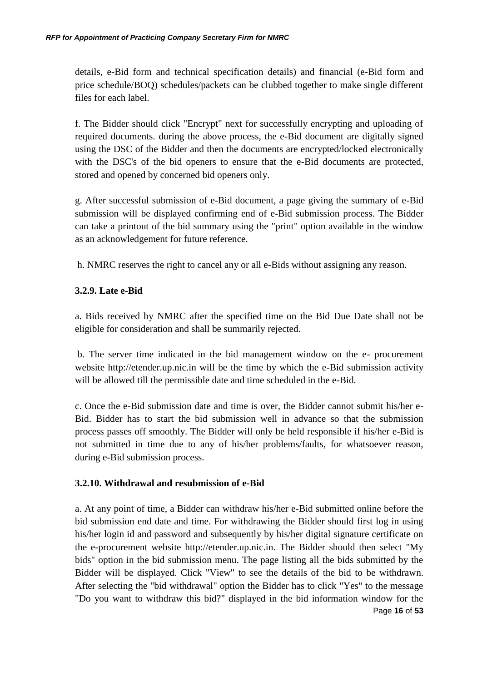details, e-Bid form and technical specification details) and financial (e-Bid form and price schedule/BOQ) schedules/packets can be clubbed together to make single different files for each label.

f. The Bidder should click "Encrypt" next for successfully encrypting and uploading of required documents. during the above process, the e-Bid document are digitally signed using the DSC of the Bidder and then the documents are encrypted/locked electronically with the DSC's of the bid openers to ensure that the e-Bid documents are protected, stored and opened by concerned bid openers only.

g. After successful submission of e-Bid document, a page giving the summary of e-Bid submission will be displayed confirming end of e-Bid submission process. The Bidder can take a printout of the bid summary using the "print" option available in the window as an acknowledgement for future reference.

h. NMRC reserves the right to cancel any or all e-Bids without assigning any reason.

## **3.2.9. Late e-Bid**

a. Bids received by NMRC after the specified time on the Bid Due Date shall not be eligible for consideration and shall be summarily rejected.

b. The server time indicated in the bid management window on the e- procurement website http://etender.up.nic.in will be the time by which the e-Bid submission activity will be allowed till the permissible date and time scheduled in the e-Bid.

c. Once the e-Bid submission date and time is over, the Bidder cannot submit his/her e-Bid. Bidder has to start the bid submission well in advance so that the submission process passes off smoothly. The Bidder will only be held responsible if his/her e-Bid is not submitted in time due to any of his/her problems/faults, for whatsoever reason, during e-Bid submission process.

## **3.2.10. Withdrawal and resubmission of e-Bid**

Page **16** of **53** a. At any point of time, a Bidder can withdraw his/her e-Bid submitted online before the bid submission end date and time. For withdrawing the Bidder should first log in using his/her login id and password and subsequently by his/her digital signature certificate on the e-procurement website http://etender.up.nic.in. The Bidder should then select "My bids" option in the bid submission menu. The page listing all the bids submitted by the Bidder will be displayed. Click "View" to see the details of the bid to be withdrawn. After selecting the "bid withdrawal" option the Bidder has to click "Yes" to the message "Do you want to withdraw this bid?" displayed in the bid information window for the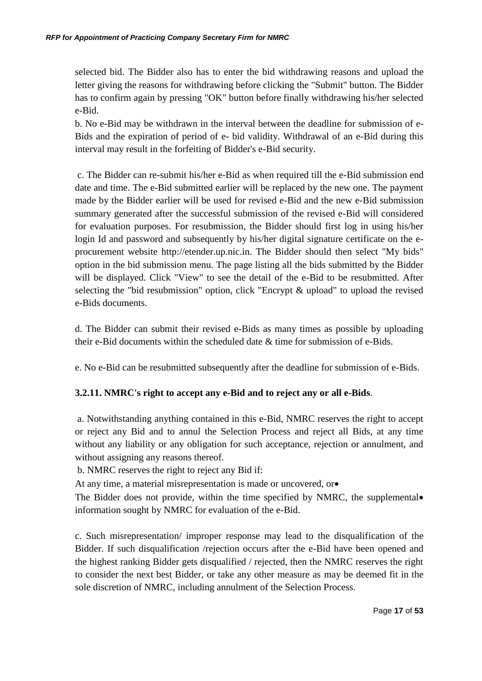selected bid. The Bidder also has to enter the bid withdrawing reasons and upload the letter giving the reasons for withdrawing before clicking the "Submit" button. The Bidder has to confirm again by pressing "OK" button before finally withdrawing his/her selected e-Bid.

b. No e-Bid may be withdrawn in the interval between the deadline for submission of e-Bids and the expiration of period of e- bid validity. Withdrawal of an e-Bid during this interval may result in the forfeiting of Bidder's e-Bid security.

c. The Bidder can re-submit his/her e-Bid as when required till the e-Bid submission end date and time. The e-Bid submitted earlier will be replaced by the new one. The payment made by the Bidder earlier will be used for revised e-Bid and the new e-Bid submission summary generated after the successful submission of the revised e-Bid will considered for evaluation purposes. For resubmission, the Bidder should first log in using his/her login Id and password and subsequently by his/her digital signature certificate on the eprocurement website http://etender.up.nic.in. The Bidder should then select "My bids" option in the bid submission menu. The page listing all the bids submitted by the Bidder will be displayed. Click "View" to see the detail of the e-Bid to be resubmitted. After selecting the "bid resubmission" option, click "Encrypt & upload" to upload the revised e-Bids documents.

d. The Bidder can submit their revised e-Bids as many times as possible by uploading their e-Bid documents within the scheduled date & time for submission of e-Bids.

e. No e-Bid can be resubmitted subsequently after the deadline for submission of e-Bids.

## **3.2.11. NMRC's right to accept any e-Bid and to reject any or all e-Bids**.

a. Notwithstanding anything contained in this e-Bid, NMRC reserves the right to accept or reject any Bid and to annul the Selection Process and reject all Bids, at any time without any liability or any obligation for such acceptance, rejection or annulment, and without assigning any reasons thereof.

b. NMRC reserves the right to reject any Bid if:

At any time, a material misrepresentation is made or uncovered, or

The Bidder does not provide, within the time specified by NMRC, the supplemental information sought by NMRC for evaluation of the e-Bid.

c. Such misrepresentation/ improper response may lead to the disqualification of the Bidder. If such disqualification /rejection occurs after the e-Bid have been opened and the highest ranking Bidder gets disqualified / rejected, then the NMRC reserves the right to consider the next best Bidder, or take any other measure as may be deemed fit in the sole discretion of NMRC, including annulment of the Selection Process.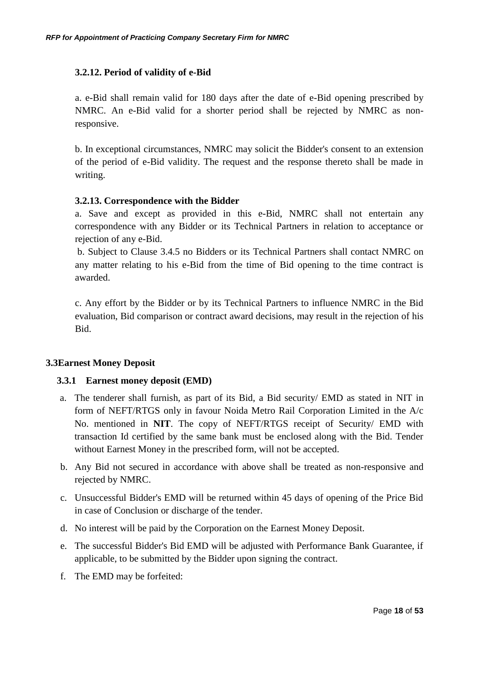## **3.2.12. Period of validity of e-Bid**

a. e-Bid shall remain valid for 180 days after the date of e-Bid opening prescribed by NMRC. An e-Bid valid for a shorter period shall be rejected by NMRC as nonresponsive.

b. In exceptional circumstances, NMRC may solicit the Bidder's consent to an extension of the period of e-Bid validity. The request and the response thereto shall be made in writing.

## **3.2.13. Correspondence with the Bidder**

a. Save and except as provided in this e-Bid, NMRC shall not entertain any correspondence with any Bidder or its Technical Partners in relation to acceptance or rejection of any e-Bid.

b. Subject to Clause 3.4.5 no Bidders or its Technical Partners shall contact NMRC on any matter relating to his e-Bid from the time of Bid opening to the time contract is awarded.

c. Any effort by the Bidder or by its Technical Partners to influence NMRC in the Bid evaluation, Bid comparison or contract award decisions, may result in the rejection of his Bid.

## **3.3Earnest Money Deposit**

## **3.3.1 Earnest money deposit (EMD)**

- a. The tenderer shall furnish, as part of its Bid, a Bid security/ EMD as stated in NIT in form of NEFT/RTGS only in favour Noida Metro Rail Corporation Limited in the A/c No. mentioned in **NIT**. The copy of NEFT/RTGS receipt of Security/ EMD with transaction Id certified by the same bank must be enclosed along with the Bid. Tender without Earnest Money in the prescribed form, will not be accepted.
- b. Any Bid not secured in accordance with above shall be treated as non-responsive and rejected by NMRC.
- c. Unsuccessful Bidder's EMD will be returned within 45 days of opening of the Price Bid in case of Conclusion or discharge of the tender.
- d. No interest will be paid by the Corporation on the Earnest Money Deposit.
- e. The successful Bidder's Bid EMD will be adjusted with Performance Bank Guarantee, if applicable, to be submitted by the Bidder upon signing the contract.
- f. The EMD may be forfeited: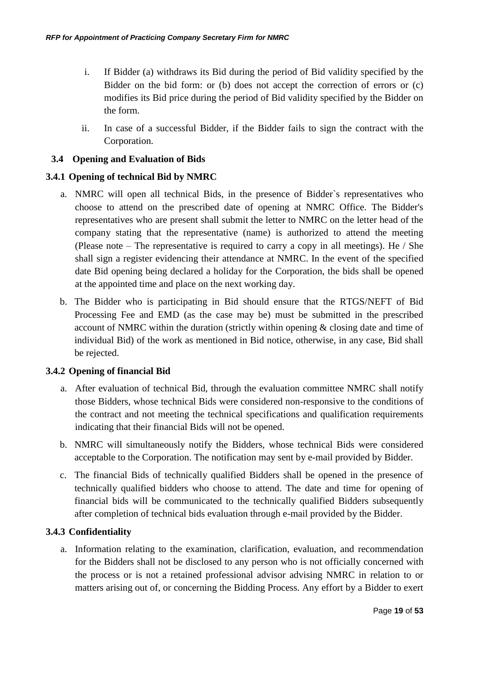- i. If Bidder (a) withdraws its Bid during the period of Bid validity specified by the Bidder on the bid form: or (b) does not accept the correction of errors or (c) modifies its Bid price during the period of Bid validity specified by the Bidder on the form.
- ii. In case of a successful Bidder, if the Bidder fails to sign the contract with the Corporation.

## **3.4 Opening and Evaluation of Bids**

## **3.4.1 Opening of technical Bid by NMRC**

- a. NMRC will open all technical Bids, in the presence of Bidder`s representatives who choose to attend on the prescribed date of opening at NMRC Office. The Bidder's representatives who are present shall submit the letter to NMRC on the letter head of the company stating that the representative (name) is authorized to attend the meeting (Please note – The representative is required to carry a copy in all meetings). He / She shall sign a register evidencing their attendance at NMRC. In the event of the specified date Bid opening being declared a holiday for the Corporation, the bids shall be opened at the appointed time and place on the next working day.
- b. The Bidder who is participating in Bid should ensure that the RTGS/NEFT of Bid Processing Fee and EMD (as the case may be) must be submitted in the prescribed account of NMRC within the duration (strictly within opening & closing date and time of individual Bid) of the work as mentioned in Bid notice, otherwise, in any case, Bid shall be rejected.

## **3.4.2 Opening of financial Bid**

- a. After evaluation of technical Bid, through the evaluation committee NMRC shall notify those Bidders, whose technical Bids were considered non-responsive to the conditions of the contract and not meeting the technical specifications and qualification requirements indicating that their financial Bids will not be opened.
- b. NMRC will simultaneously notify the Bidders, whose technical Bids were considered acceptable to the Corporation. The notification may sent by e-mail provided by Bidder.
- c. The financial Bids of technically qualified Bidders shall be opened in the presence of technically qualified bidders who choose to attend. The date and time for opening of financial bids will be communicated to the technically qualified Bidders subsequently after completion of technical bids evaluation through e-mail provided by the Bidder.

## **3.4.3 Confidentiality**

a. Information relating to the examination, clarification, evaluation, and recommendation for the Bidders shall not be disclosed to any person who is not officially concerned with the process or is not a retained professional advisor advising NMRC in relation to or matters arising out of, or concerning the Bidding Process. Any effort by a Bidder to exert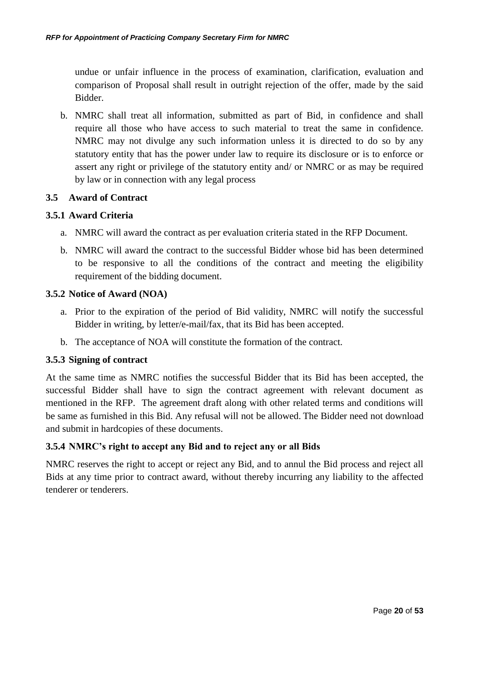undue or unfair influence in the process of examination, clarification, evaluation and comparison of Proposal shall result in outright rejection of the offer, made by the said Bidder.

b. NMRC shall treat all information, submitted as part of Bid, in confidence and shall require all those who have access to such material to treat the same in confidence. NMRC may not divulge any such information unless it is directed to do so by any statutory entity that has the power under law to require its disclosure or is to enforce or assert any right or privilege of the statutory entity and/ or NMRC or as may be required by law or in connection with any legal process

## **3.5 Award of Contract**

## **3.5.1 Award Criteria**

- a. NMRC will award the contract as per evaluation criteria stated in the RFP Document.
- b. NMRC will award the contract to the successful Bidder whose bid has been determined to be responsive to all the conditions of the contract and meeting the eligibility requirement of the bidding document.

## **3.5.2 Notice of Award (NOA)**

- a. Prior to the expiration of the period of Bid validity, NMRC will notify the successful Bidder in writing, by letter/e-mail/fax, that its Bid has been accepted.
- b. The acceptance of NOA will constitute the formation of the contract.

## **3.5.3 Signing of contract**

At the same time as NMRC notifies the successful Bidder that its Bid has been accepted, the successful Bidder shall have to sign the contract agreement with relevant document as mentioned in the RFP. The agreement draft along with other related terms and conditions will be same as furnished in this Bid. Any refusal will not be allowed. The Bidder need not download and submit in hardcopies of these documents.

## **3.5.4 NMRC's right to accept any Bid and to reject any or all Bids**

NMRC reserves the right to accept or reject any Bid, and to annul the Bid process and reject all Bids at any time prior to contract award, without thereby incurring any liability to the affected tenderer or tenderers.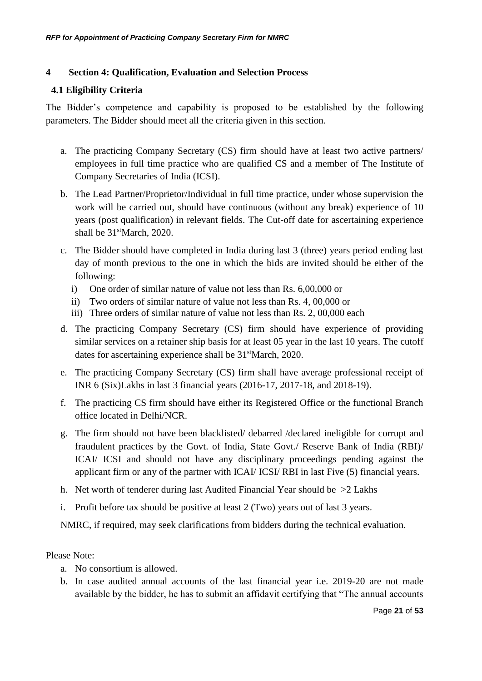## <span id="page-20-2"></span>**4 Section 4: Qualification, Evaluation and Selection Process**

## <span id="page-20-0"></span>**4.1 Eligibility Criteria**

The Bidder's competence and capability is proposed to be established by the following parameters. The Bidder should meet all the criteria given in this section.

- a. The practicing Company Secretary (CS) firm should have at least two active partners/ employees in full time practice who are qualified CS and a member of The Institute of Company Secretaries of India (ICSI).
- b. The Lead Partner/Proprietor/Individual in full time practice, under whose supervision the work will be carried out, should have continuous (without any break) experience of 10 years (post qualification) in relevant fields. The Cut-off date for ascertaining experience shall be  $31<sup>st</sup>March, 2020.$
- c. The Bidder should have completed in India during last 3 (three) years period ending last day of month previous to the one in which the bids are invited should be either of the following:
	- i) One order of similar nature of value not less than Rs. 6,00,000 or
	- ii) Two orders of similar nature of value not less than Rs. 4, 00,000 or
	- iii) Three orders of similar nature of value not less than Rs. 2, 00,000 each
- d. The practicing Company Secretary (CS) firm should have experience of providing similar services on a retainer ship basis for at least 05 year in the last 10 years. The cutoff dates for ascertaining experience shall be  $31<sup>st</sup>March, 2020$ .
- e. The practicing Company Secretary (CS) firm shall have average professional receipt of INR 6 (Six)Lakhs in last 3 financial years (2016-17, 2017-18, and 2018-19).
- <span id="page-20-1"></span>f. The practicing CS firm should have either its Registered Office or the functional Branch office located in Delhi/NCR.
- g. The firm should not have been blacklisted/ debarred /declared ineligible for corrupt and fraudulent practices by the Govt. of India, State Govt./ Reserve Bank of India (RBI)/ ICAI/ ICSI and should not have any disciplinary proceedings pending against the applicant firm or any of the partner with ICAI/ ICSI/ RBI in last Five (5) financial years.
- h. Net worth of tenderer during last Audited Financial Year should be >2 Lakhs
- i. Profit before tax should be positive at least 2 (Two) years out of last 3 years.

NMRC, if required, may seek clarifications from bidders during the technical evaluation.

## Please Note:

- a. No consortium is allowed.
- b. In case audited annual accounts of the last financial year i.e. 2019-20 are not made available by the bidder, he has to submit an affidavit certifying that "The annual accounts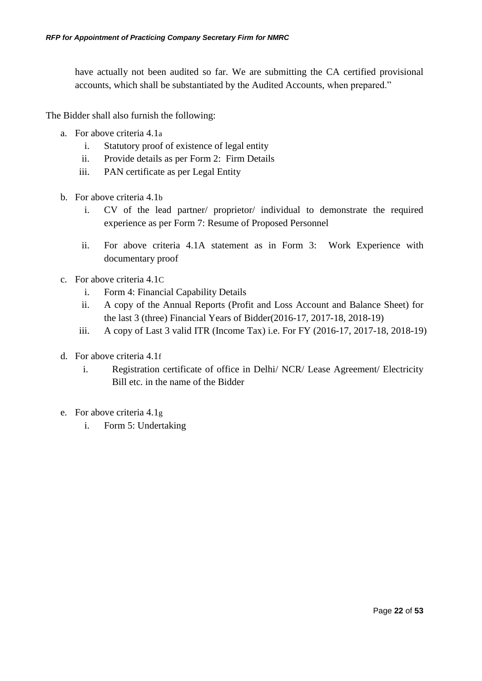have actually not been audited so far. We are submitting the CA certified provisional accounts, which shall be substantiated by the Audited Accounts, when prepared."

The Bidder shall also furnish the following:

- <span id="page-21-0"></span>a. For above criteria [4.1](#page-20-0)[a](#page-20-0)
	- i. Statutory proof of existence of legal entity
	- ii. Provide details as per [Form 2: Firm Details](#page-40-0)
	- iii. PAN certificate as per Legal Entity
- b. For above criteria [4.1](#page-20-0)[b](#page-20-0)
	- i. CV of the lead partner/ proprietor/ individual to demonstrate the required experience as per [Form 7: Resume of Proposed Personnel](#page-49-0)
	- ii. For above criteria [4.1A](#page-20-0) statement as in [Form 3: Work Experience](#page-42-0) with documentary proof
- <span id="page-21-2"></span><span id="page-21-1"></span>c. For above criteria [4.1](#page-20-0)C
	- i. [Form 4: Financial Capability Details](#page-44-0)
	- ii. A copy of the Annual Reports (Profit and Loss Account and Balance Sheet) for the last 3 (three) Financial Years of Bidder(2016-17, 2017-18, 2018-19)
	- iii. A copy of Last 3 valid ITR (Income Tax) i.e. For FY (2016-17, 2017-18, 2018-19)
- <span id="page-21-3"></span>d. For above criteria 4.1[f](#page-20-1)
	- i. Registration certificate of office in Delhi/ NCR/ Lease Agreement/ Electricity Bill etc. in the name of the Bidder
- e. For above criteria [4.1](#page-20-0)[g](#page-20-0)
	- i. [Form 5: Undertaking](#page-46-0)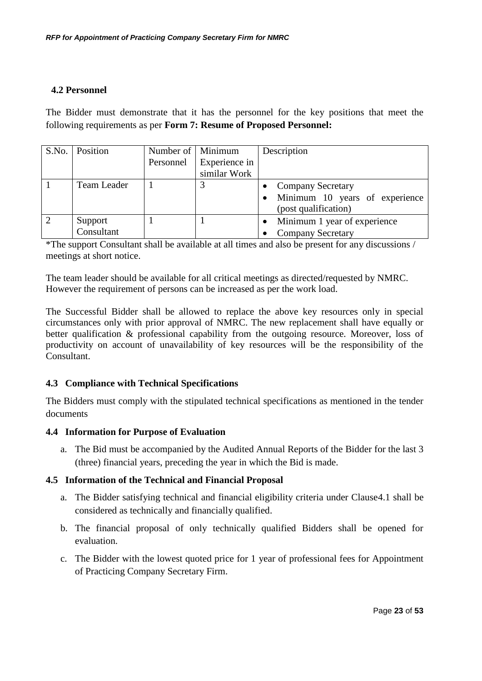## <span id="page-22-0"></span>**4.2 Personnel**

The Bidder must demonstrate that it has the personnel for the key positions that meet the following requirements as per **[Form 7: Resume of Proposed Personnel:](#page-49-0)**

|                | S.No.   Position | Number of   Minimum |               | Description                    |
|----------------|------------------|---------------------|---------------|--------------------------------|
|                |                  | Personnel           | Experience in |                                |
|                |                  |                     | similar Work  |                                |
|                | Team Leader      |                     |               | <b>Company Secretary</b>       |
|                |                  |                     |               | Minimum 10 years of experience |
|                |                  |                     |               | (post qualification)           |
| $\overline{2}$ | Support          |                     |               | Minimum 1 year of experience   |
|                | Consultant       |                     |               | <b>Company Secretary</b>       |

\*The support Consultant shall be available at all times and also be present for any discussions / meetings at short notice.

The team leader should be available for all critical meetings as directed/requested by NMRC. However the requirement of persons can be increased as per the work load.

The Successful Bidder shall be allowed to replace the above key resources only in special circumstances only with prior approval of NMRC. The new replacement shall have equally or better qualification & professional capability from the outgoing resource. Moreover, loss of productivity on account of unavailability of key resources will be the responsibility of the Consultant.

## **4.3 Compliance with Technical Specifications**

The Bidders must comply with the stipulated technical specifications as mentioned in the tender documents

## **4.4 Information for Purpose of Evaluation**

a. The Bid must be accompanied by the Audited Annual Reports of the Bidder for the last 3 (three) financial years, preceding the year in which the Bid is made.

## **4.5 Information of the Technical and Financial Proposal**

- a. The Bidder satisfying technical and financial eligibility criteria under Claus[e4.1](#page-20-0) shall be considered as technically and financially qualified.
- b. The financial proposal of only technically qualified Bidders shall be opened for evaluation.
- c. The Bidder with the lowest quoted price for 1 year of professional fees for Appointment of Practicing Company Secretary Firm.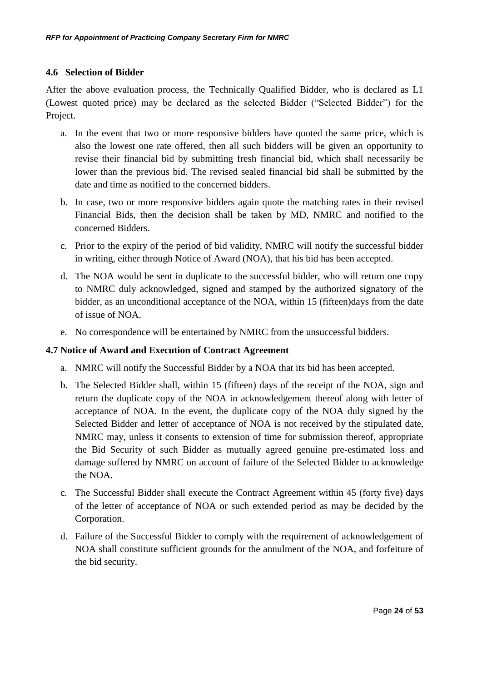## **4.6 Selection of Bidder**

After the above evaluation process, the Technically Qualified Bidder, who is declared as L1 (Lowest quoted price) may be declared as the selected Bidder ("Selected Bidder") for the Project.

- a. In the event that two or more responsive bidders have quoted the same price, which is also the lowest one rate offered, then all such bidders will be given an opportunity to revise their financial bid by submitting fresh financial bid, which shall necessarily be lower than the previous bid. The revised sealed financial bid shall be submitted by the date and time as notified to the concerned bidders.
- b. In case, two or more responsive bidders again quote the matching rates in their revised Financial Bids, then the decision shall be taken by MD, NMRC and notified to the concerned Bidders.
- c. Prior to the expiry of the period of bid validity, NMRC will notify the successful bidder in writing, either through Notice of Award (NOA), that his bid has been accepted.
- d. The NOA would be sent in duplicate to the successful bidder, who will return one copy to NMRC duly acknowledged, signed and stamped by the authorized signatory of the bidder, as an unconditional acceptance of the NOA, within 15 (fifteen)days from the date of issue of NOA.
- e. No correspondence will be entertained by NMRC from the unsuccessful bidders.

## **4.7 Notice of Award and Execution of Contract Agreement**

- a. NMRC will notify the Successful Bidder by a NOA that its bid has been accepted.
- b. The Selected Bidder shall, within 15 (fifteen) days of the receipt of the NOA, sign and return the duplicate copy of the NOA in acknowledgement thereof along with letter of acceptance of NOA. In the event, the duplicate copy of the NOA duly signed by the Selected Bidder and letter of acceptance of NOA is not received by the stipulated date, NMRC may, unless it consents to extension of time for submission thereof, appropriate the Bid Security of such Bidder as mutually agreed genuine pre-estimated loss and damage suffered by NMRC on account of failure of the Selected Bidder to acknowledge the NOA.
- c. The Successful Bidder shall execute the Contract Agreement within 45 (forty five) days of the letter of acceptance of NOA or such extended period as may be decided by the Corporation.
- d. Failure of the Successful Bidder to comply with the requirement of acknowledgement of NOA shall constitute sufficient grounds for the annulment of the NOA, and forfeiture of the bid security.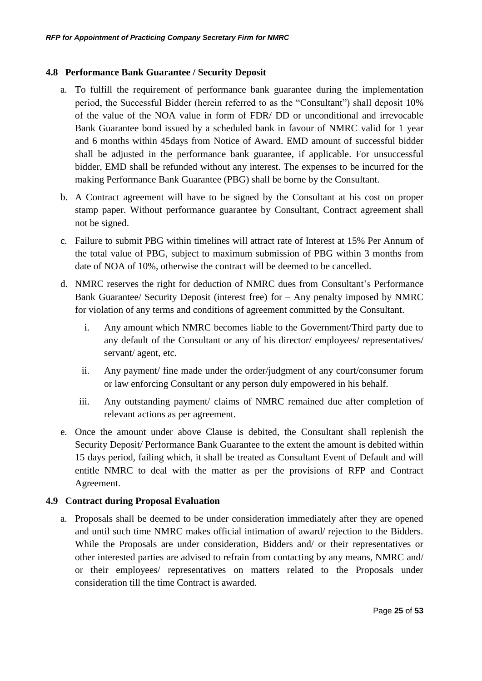## **4.8 Performance Bank Guarantee / Security Deposit**

- a. To fulfill the requirement of performance bank guarantee during the implementation period, the Successful Bidder (herein referred to as the "Consultant") shall deposit 10% of the value of the NOA value in form of FDR/ DD or unconditional and irrevocable Bank Guarantee bond issued by a scheduled bank in favour of NMRC valid for 1 year and 6 months within 45days from Notice of Award. EMD amount of successful bidder shall be adjusted in the performance bank guarantee, if applicable. For unsuccessful bidder, EMD shall be refunded without any interest. The expenses to be incurred for the making Performance Bank Guarantee (PBG) shall be borne by the Consultant.
- b. A Contract agreement will have to be signed by the Consultant at his cost on proper stamp paper. Without performance guarantee by Consultant, Contract agreement shall not be signed.
- c. Failure to submit PBG within timelines will attract rate of Interest at 15% Per Annum of the total value of PBG, subject to maximum submission of PBG within 3 months from date of NOA of 10%, otherwise the contract will be deemed to be cancelled.
- d. NMRC reserves the right for deduction of NMRC dues from Consultant's Performance Bank Guarantee/ Security Deposit (interest free) for – Any penalty imposed by NMRC for violation of any terms and conditions of agreement committed by the Consultant.
	- i. Any amount which NMRC becomes liable to the Government/Third party due to any default of the Consultant or any of his director/ employees/ representatives/ servant/ agent, etc.
	- ii. Any payment/ fine made under the order/judgment of any court/consumer forum or law enforcing Consultant or any person duly empowered in his behalf.
	- iii. Any outstanding payment/ claims of NMRC remained due after completion of relevant actions as per agreement.
- e. Once the amount under above Clause is debited, the Consultant shall replenish the Security Deposit/ Performance Bank Guarantee to the extent the amount is debited within 15 days period, failing which, it shall be treated as Consultant Event of Default and will entitle NMRC to deal with the matter as per the provisions of RFP and Contract Agreement.

## **4.9 Contract during Proposal Evaluation**

a. Proposals shall be deemed to be under consideration immediately after they are opened and until such time NMRC makes official intimation of award/ rejection to the Bidders. While the Proposals are under consideration, Bidders and/ or their representatives or other interested parties are advised to refrain from contacting by any means, NMRC and/ or their employees/ representatives on matters related to the Proposals under consideration till the time Contract is awarded.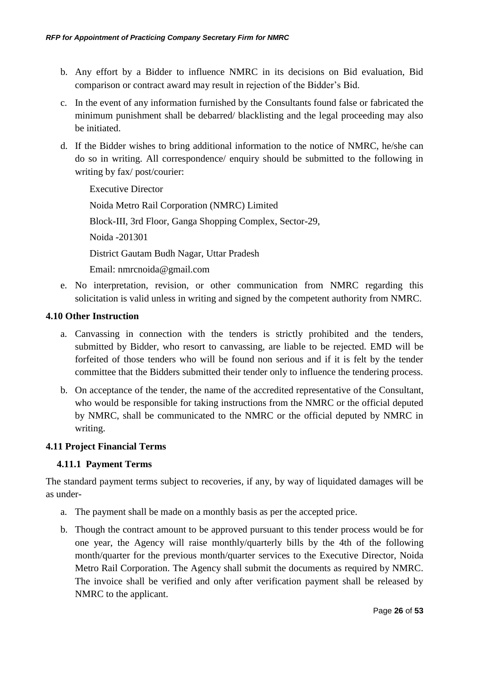- b. Any effort by a Bidder to influence NMRC in its decisions on Bid evaluation, Bid comparison or contract award may result in rejection of the Bidder's Bid.
- c. In the event of any information furnished by the Consultants found false or fabricated the minimum punishment shall be debarred/ blacklisting and the legal proceeding may also be initiated.
- d. If the Bidder wishes to bring additional information to the notice of NMRC, he/she can do so in writing. All correspondence/ enquiry should be submitted to the following in writing by fax/ post/courier:

 Executive Director Noida Metro Rail Corporation (NMRC) Limited Block-III, 3rd Floor, Ganga Shopping Complex, Sector-29, Noida -201301 District Gautam Budh Nagar, Uttar Pradesh Email: nmrcnoida@gmail.com

e. No interpretation, revision, or other communication from NMRC regarding this solicitation is valid unless in writing and signed by the competent authority from NMRC.

## **4.10 Other Instruction**

- a. Canvassing in connection with the tenders is strictly prohibited and the tenders, submitted by Bidder, who resort to canvassing, are liable to be rejected. EMD will be forfeited of those tenders who will be found non serious and if it is felt by the tender committee that the Bidders submitted their tender only to influence the tendering process.
- b. On acceptance of the tender, the name of the accredited representative of the Consultant, who would be responsible for taking instructions from the NMRC or the official deputed by NMRC, shall be communicated to the NMRC or the official deputed by NMRC in writing.

## <span id="page-25-0"></span>**4.11 Project Financial Terms**

## **4.11.1 Payment Terms**

The standard payment terms subject to recoveries, if any, by way of liquidated damages will be as under-

- a. The payment shall be made on a monthly basis as per the accepted price.
- b. Though the contract amount to be approved pursuant to this tender process would be for one year, the Agency will raise monthly/quarterly bills by the 4th of the following month/quarter for the previous month/quarter services to the Executive Director, Noida Metro Rail Corporation. The Agency shall submit the documents as required by NMRC. The invoice shall be verified and only after verification payment shall be released by NMRC to the applicant.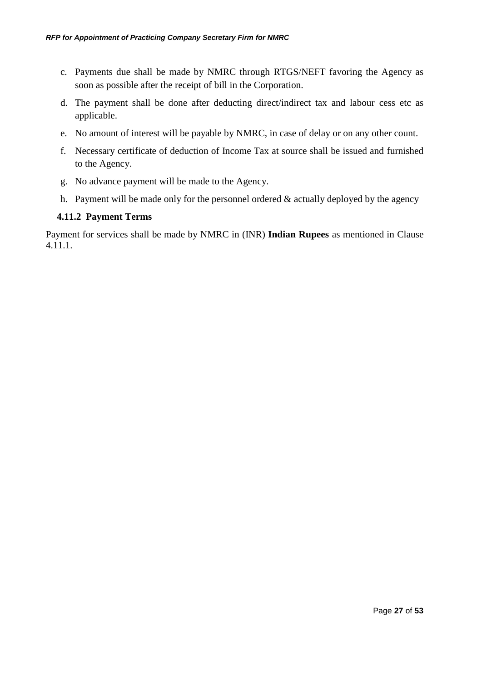- c. Payments due shall be made by NMRC through RTGS/NEFT favoring the Agency as soon as possible after the receipt of bill in the Corporation.
- d. The payment shall be done after deducting direct/indirect tax and labour cess etc as applicable.
- e. No amount of interest will be payable by NMRC, in case of delay or on any other count.
- f. Necessary certificate of deduction of Income Tax at source shall be issued and furnished to the Agency.
- g. No advance payment will be made to the Agency.
- h. Payment will be made only for the personnel ordered  $&$  actually deployed by the agency

## **4.11.2 Payment Terms**

Payment for services shall be made by NMRC in (INR) **Indian Rupees** as mentioned in Clause 4.11.1.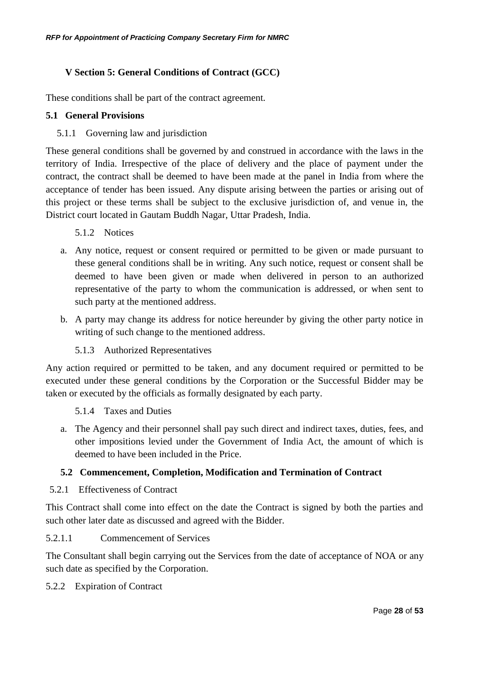## <span id="page-27-0"></span>**V Section 5: General Conditions of Contract (GCC)**

These conditions shall be part of the contract agreement.

## **5.1 General Provisions**

## 5.1.1 Governing law and jurisdiction

These general conditions shall be governed by and construed in accordance with the laws in the territory of India. Irrespective of the place of delivery and the place of payment under the contract, the contract shall be deemed to have been made at the panel in India from where the acceptance of tender has been issued. Any dispute arising between the parties or arising out of this project or these terms shall be subject to the exclusive jurisdiction of, and venue in, the District court located in Gautam Buddh Nagar, Uttar Pradesh, India.

## 5.1.2 Notices

- a. Any notice, request or consent required or permitted to be given or made pursuant to these general conditions shall be in writing. Any such notice, request or consent shall be deemed to have been given or made when delivered in person to an authorized representative of the party to whom the communication is addressed, or when sent to such party at the mentioned address.
- b. A party may change its address for notice hereunder by giving the other party notice in writing of such change to the mentioned address.

## 5.1.3 Authorized Representatives

Any action required or permitted to be taken, and any document required or permitted to be executed under these general conditions by the Corporation or the Successful Bidder may be taken or executed by the officials as formally designated by each party.

5.1.4 Taxes and Duties

a. The Agency and their personnel shall pay such direct and indirect taxes, duties, fees, and other impositions levied under the Government of India Act, the amount of which is deemed to have been included in the Price.

## **5.2 Commencement, Completion, Modification and Termination of Contract**

5.2.1 Effectiveness of Contract

This Contract shall come into effect on the date the Contract is signed by both the parties and such other later date as discussed and agreed with the Bidder.

5.2.1.1 Commencement of Services

The Consultant shall begin carrying out the Services from the date of acceptance of NOA or any such date as specified by the Corporation.

5.2.2 Expiration of Contract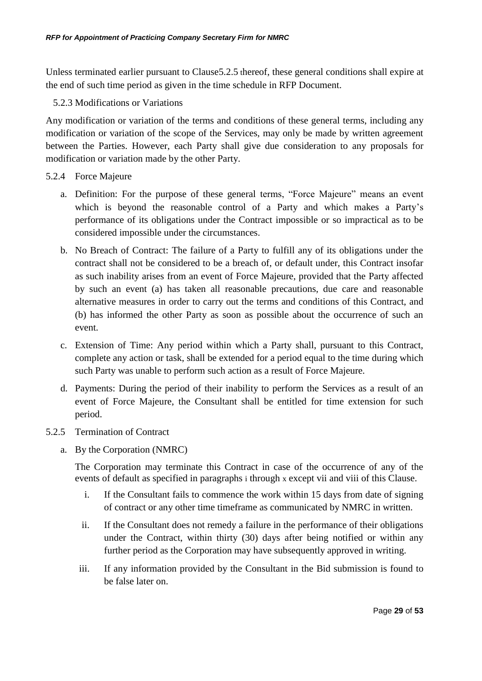Unless terminated earlier pursuant to Claus[e5.2.5](#page-28-0) thereof, these general conditions shall expire at the end of such time period as given in the time schedule in RFP Document.

5.2.3 Modifications or Variations

Any modification or variation of the terms and conditions of these general terms, including any modification or variation of the scope of the Services, may only be made by written agreement between the Parties. However, each Party shall give due consideration to any proposals for modification or variation made by the other Party.

- 5.2.4 Force Majeure
	- a. Definition: For the purpose of these general terms, "Force Majeure" means an event which is beyond the reasonable control of a Party and which makes a Party's performance of its obligations under the Contract impossible or so impractical as to be considered impossible under the circumstances.
	- b. No Breach of Contract: The failure of a Party to fulfill any of its obligations under the contract shall not be considered to be a breach of, or default under, this Contract insofar as such inability arises from an event of Force Majeure, provided that the Party affected by such an event (a) has taken all reasonable precautions, due care and reasonable alternative measures in order to carry out the terms and conditions of this Contract, and (b) has informed the other Party as soon as possible about the occurrence of such an event.
	- c. Extension of Time: Any period within which a Party shall, pursuant to this Contract, complete any action or task, shall be extended for a period equal to the time during which such Party was unable to perform such action as a result of Force Majeure.
	- d. Payments: During the period of their inability to perform the Services as a result of an event of Force Majeure, the Consultant shall be entitled for time extension for such period.
- <span id="page-28-0"></span>5.2.5 Termination of Contract
	- a. By the Corporation (NMRC)

<span id="page-28-1"></span>The Corporation may terminate this Contract in case of the occurrence of any of the events of default as specified in paragraphs [i](#page-28-1) through [x](#page-29-0) except [vii](#page-29-1) and [viii](#page-29-2) of this Clause.

- i. If the Consultant fails to commence the work within 15 days from date of signing of contract or any other time timeframe as communicated by NMRC in written.
- ii. If the Consultant does not remedy a failure in the performance of their obligations under the Contract, within thirty (30) days after being notified or within any further period as the Corporation may have subsequently approved in writing.
- iii. If any information provided by the Consultant in the Bid submission is found to be false later on.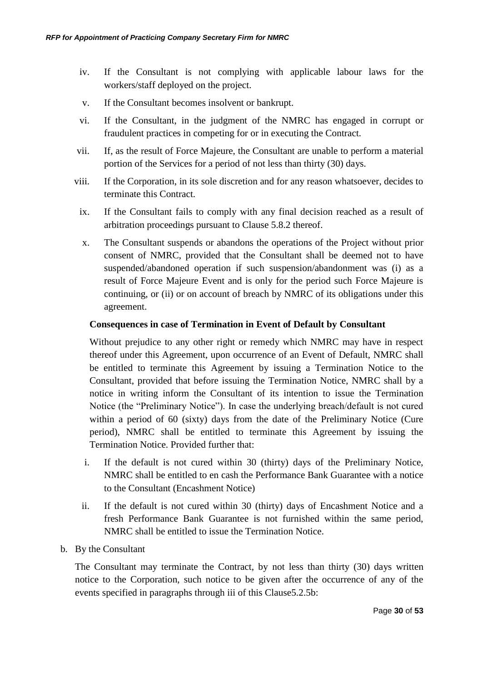- iv. If the Consultant is not complying with applicable labour laws for the workers/staff deployed on the project.
- v. If the Consultant becomes insolvent or bankrupt.
- <span id="page-29-3"></span>vi. If the Consultant, in the judgment of the NMRC has engaged in corrupt or fraudulent practices in competing for or in executing the Contract.
- <span id="page-29-1"></span>vii. If, as the result of Force Majeure, the Consultant are unable to perform a material portion of the Services for a period of not less than thirty (30) days.
- <span id="page-29-2"></span>viii. If the Corporation, in its sole discretion and for any reason whatsoever, decides to terminate this Contract.
- <span id="page-29-4"></span>ix. If the Consultant fails to comply with any final decision reached as a result of arbitration proceedings pursuant to Clause [5.8.2](#page-33-0) thereof.
- <span id="page-29-0"></span>x. The Consultant suspends or abandons the operations of the Project without prior consent of NMRC, provided that the Consultant shall be deemed not to have suspended/abandoned operation if such suspension/abandonment was (i) as a result of Force Majeure Event and is only for the period such Force Majeure is continuing, or (ii) or on account of breach by NMRC of its obligations under this agreement.

#### **Consequences in case of Termination in Event of Default by Consultant**

Without prejudice to any other right or remedy which NMRC may have in respect thereof under this Agreement, upon occurrence of an Event of Default, NMRC shall be entitled to terminate this Agreement by issuing a Termination Notice to the Consultant, provided that before issuing the Termination Notice, NMRC shall by a notice in writing inform the Consultant of its intention to issue the Termination Notice (the "Preliminary Notice"). In case the underlying breach/default is not cured within a period of 60 (sixty) days from the date of the Preliminary Notice (Cure period), NMRC shall be entitled to terminate this Agreement by issuing the Termination Notice. Provided further that:

- i. If the default is not cured within 30 (thirty) days of the Preliminary Notice, NMRC shall be entitled to en cash the Performance Bank Guarantee with a notice to the Consultant (Encashment Notice)
- ii. If the default is not cured within 30 (thirty) days of Encashment Notice and a fresh Performance Bank Guarantee is not furnished within the same period, NMRC shall be entitled to issue the Termination Notice.
- b. By the Consultant

The Consultant may terminate the Contract, by not less than thirty (30) days written notice to the Corporation, such notice to be given after the occurrence of any of the events specified in paragraphs through [iii](#page-30-0) of this Claus[e5.2.5b:](#page-28-0)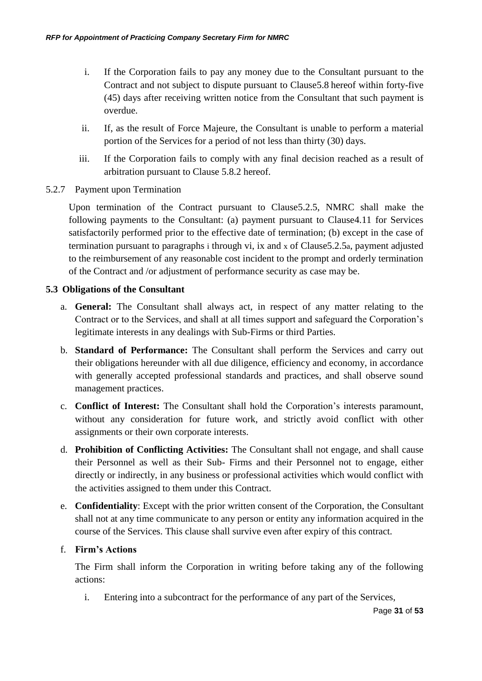- i. If the Corporation fails to pay any money due to the Consultant pursuant to the Contract and not subject to dispute pursuant to Claus[e5.8](#page-33-1) hereof within forty-five (45) days after receiving written notice from the Consultant that such payment is overdue.
- ii. If, as the result of Force Majeure, the Consultant is unable to perform a material portion of the Services for a period of not less than thirty (30) days.
- iii. If the Corporation fails to comply with any final decision reached as a result of arbitration pursuant to Clause [5.8.2](#page-33-0) hereof.
- <span id="page-30-0"></span>5.2.7 Payment upon Termination

Upon termination of the Contract pursuant to Claus[e5.2.5,](#page-28-0) NMRC shall make the following payments to the Consultant: (a) payment pursuant to Claus[e4.11](#page-25-0) for Services satisfactorily performed prior to the effective date of termination; (b) except in the case of termination pursuant to paragraphs [i](#page-28-1) through [vi,](#page-29-3) [ix](#page-29-4) and [x](#page-29-0) of Claus[e5.2.5](#page-28-0)[a](#page-28-0), payment adjusted to the reimbursement of any reasonable cost incident to the prompt and orderly termination of the Contract and /or adjustment of performance security as case may be.

## **5.3 Obligations of the Consultant**

- a. **General:** The Consultant shall always act, in respect of any matter relating to the Contract or to the Services, and shall at all times support and safeguard the Corporation's legitimate interests in any dealings with Sub-Firms or third Parties.
- b. **Standard of Performance:** The Consultant shall perform the Services and carry out their obligations hereunder with all due diligence, efficiency and economy, in accordance with generally accepted professional standards and practices, and shall observe sound management practices.
- c. **Conflict of Interest:** The Consultant shall hold the Corporation's interests paramount, without any consideration for future work, and strictly avoid conflict with other assignments or their own corporate interests.
- d. **Prohibition of Conflicting Activities:** The Consultant shall not engage, and shall cause their Personnel as well as their Sub- Firms and their Personnel not to engage, either directly or indirectly, in any business or professional activities which would conflict with the activities assigned to them under this Contract.
- e. **Confidentiality**: Except with the prior written consent of the Corporation, the Consultant shall not at any time communicate to any person or entity any information acquired in the course of the Services. This clause shall survive even after expiry of this contract.

## f. **Firm's Actions**

The Firm shall inform the Corporation in writing before taking any of the following actions:

i. Entering into a subcontract for the performance of any part of the Services,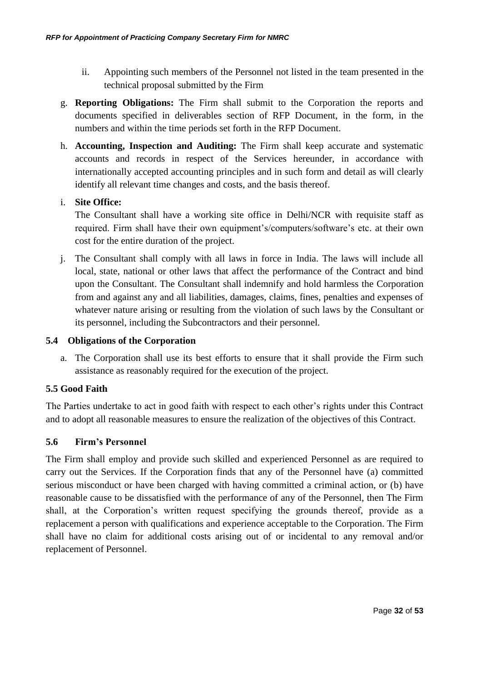- ii. Appointing such members of the Personnel not listed in the team presented in the technical proposal submitted by the Firm
- g. **Reporting Obligations:** The Firm shall submit to the Corporation the reports and documents specified in deliverables section of RFP Document, in the form, in the numbers and within the time periods set forth in the RFP Document.
- h. **Accounting, Inspection and Auditing:** The Firm shall keep accurate and systematic accounts and records in respect of the Services hereunder, in accordance with internationally accepted accounting principles and in such form and detail as will clearly identify all relevant time changes and costs, and the basis thereof.

## i. **Site Office:**

The Consultant shall have a working site office in Delhi/NCR with requisite staff as required. Firm shall have their own equipment's/computers/software's etc. at their own cost for the entire duration of the project.

j. The Consultant shall comply with all laws in force in India. The laws will include all local, state, national or other laws that affect the performance of the Contract and bind upon the Consultant. The Consultant shall indemnify and hold harmless the Corporation from and against any and all liabilities, damages, claims, fines, penalties and expenses of whatever nature arising or resulting from the violation of such laws by the Consultant or its personnel, including the Subcontractors and their personnel.

#### **5.4 Obligations of the Corporation**

a. The Corporation shall use its best efforts to ensure that it shall provide the Firm such assistance as reasonably required for the execution of the project.

## **5.5 Good Faith**

The Parties undertake to act in good faith with respect to each other's rights under this Contract and to adopt all reasonable measures to ensure the realization of the objectives of this Contract.

## **5.6 Firm's Personnel**

The Firm shall employ and provide such skilled and experienced Personnel as are required to carry out the Services. If the Corporation finds that any of the Personnel have (a) committed serious misconduct or have been charged with having committed a criminal action, or (b) have reasonable cause to be dissatisfied with the performance of any of the Personnel, then The Firm shall, at the Corporation's written request specifying the grounds thereof, provide as a replacement a person with qualifications and experience acceptable to the Corporation. The Firm shall have no claim for additional costs arising out of or incidental to any removal and/or replacement of Personnel.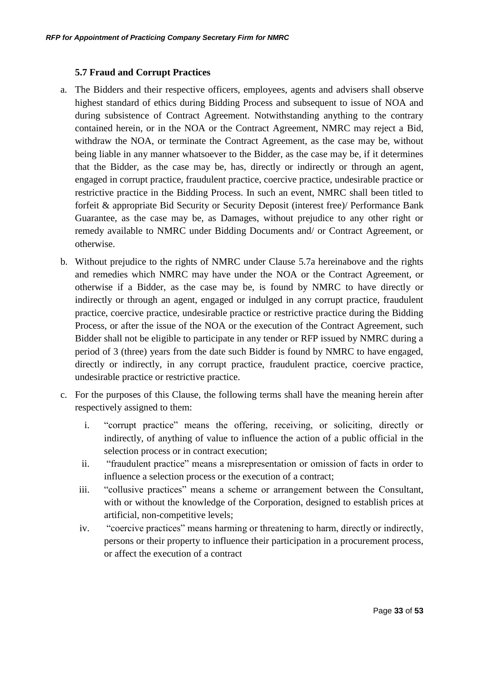## **5.7 Fraud and Corrupt Practices**

- <span id="page-32-0"></span>a. The Bidders and their respective officers, employees, agents and advisers shall observe highest standard of ethics during Bidding Process and subsequent to issue of NOA and during subsistence of Contract Agreement. Notwithstanding anything to the contrary contained herein, or in the NOA or the Contract Agreement, NMRC may reject a Bid, withdraw the NOA, or terminate the Contract Agreement, as the case may be, without being liable in any manner whatsoever to the Bidder, as the case may be, if it determines that the Bidder, as the case may be, has, directly or indirectly or through an agent, engaged in corrupt practice, fraudulent practice, coercive practice, undesirable practice or restrictive practice in the Bidding Process. In such an event, NMRC shall been titled to forfeit & appropriate Bid Security or Security Deposit (interest free)/ Performance Bank Guarantee, as the case may be, as Damages, without prejudice to any other right or remedy available to NMRC under Bidding Documents and/ or Contract Agreement, or otherwise.
- b. Without prejudice to the rights of NMRC under Clause [5.7a](#page-32-0) hereinabove and the rights and remedies which NMRC may have under the NOA or the Contract Agreement, or otherwise if a Bidder, as the case may be, is found by NMRC to have directly or indirectly or through an agent, engaged or indulged in any corrupt practice, fraudulent practice, coercive practice, undesirable practice or restrictive practice during the Bidding Process, or after the issue of the NOA or the execution of the Contract Agreement, such Bidder shall not be eligible to participate in any tender or RFP issued by NMRC during a period of 3 (three) years from the date such Bidder is found by NMRC to have engaged, directly or indirectly, in any corrupt practice, fraudulent practice, coercive practice, undesirable practice or restrictive practice.
- c. For the purposes of this Clause, the following terms shall have the meaning herein after respectively assigned to them:
	- i. "corrupt practice" means the offering, receiving, or soliciting, directly or indirectly, of anything of value to influence the action of a public official in the selection process or in contract execution;
	- ii. "fraudulent practice" means a misrepresentation or omission of facts in order to influence a selection process or the execution of a contract;
	- iii. "collusive practices" means a scheme or arrangement between the Consultant, with or without the knowledge of the Corporation, designed to establish prices at artificial, non-competitive levels;
	- iv. "coercive practices" means harming or threatening to harm, directly or indirectly, persons or their property to influence their participation in a procurement process, or affect the execution of a contract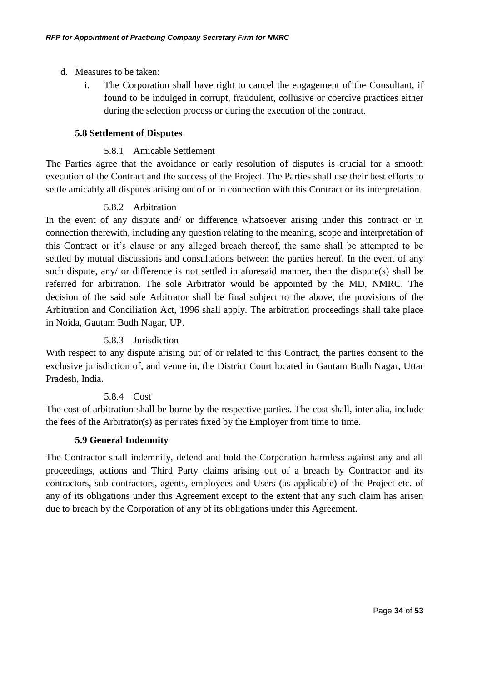- d. Measures to be taken:
	- i. The Corporation shall have right to cancel the engagement of the Consultant, if found to be indulged in corrupt, fraudulent, collusive or coercive practices either during the selection process or during the execution of the contract.

#### <span id="page-33-1"></span>**5.8 Settlement of Disputes**

#### 5.8.1 Amicable Settlement

The Parties agree that the avoidance or early resolution of disputes is crucial for a smooth execution of the Contract and the success of the Project. The Parties shall use their best efforts to settle amicably all disputes arising out of or in connection with this Contract or its interpretation.

## 5.8.2 Arbitration

<span id="page-33-0"></span>In the event of any dispute and/ or difference whatsoever arising under this contract or in connection therewith, including any question relating to the meaning, scope and interpretation of this Contract or it's clause or any alleged breach thereof, the same shall be attempted to be settled by mutual discussions and consultations between the parties hereof. In the event of any such dispute, any/ or difference is not settled in aforesaid manner, then the dispute(s) shall be referred for arbitration. The sole Arbitrator would be appointed by the MD, NMRC. The decision of the said sole Arbitrator shall be final subject to the above, the provisions of the Arbitration and Conciliation Act, 1996 shall apply. The arbitration proceedings shall take place in Noida, Gautam Budh Nagar, UP.

## 5.8.3 Jurisdiction

With respect to any dispute arising out of or related to this Contract, the parties consent to the exclusive jurisdiction of, and venue in, the District Court located in Gautam Budh Nagar, Uttar Pradesh, India.

## 5.8.4 Cost

The cost of arbitration shall be borne by the respective parties. The cost shall, inter alia, include the fees of the Arbitrator(s) as per rates fixed by the Employer from time to time.

## **5.9 General Indemnity**

The Contractor shall indemnify, defend and hold the Corporation harmless against any and all proceedings, actions and Third Party claims arising out of a breach by Contractor and its contractors, sub-contractors, agents, employees and Users (as applicable) of the Project etc. of any of its obligations under this Agreement except to the extent that any such claim has arisen due to breach by the Corporation of any of its obligations under this Agreement.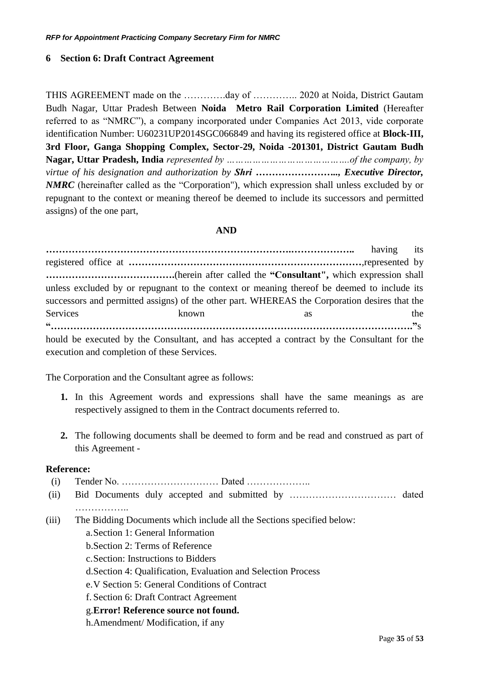## <span id="page-34-0"></span>**6 Section 6: Draft Contract Agreement**

THIS AGREEMENT made on the ………….day of ………….. 2020 at Noida, District Gautam Budh Nagar, Uttar Pradesh Between **Noida Metro Rail Corporation Limited** (Hereafter referred to as "NMRC"), a company incorporated under Companies Act 2013, vide corporate identification Number: U60231UP2014SGC066849 and having its registered office at **Block-III, 3rd Floor, Ganga Shopping Complex, Sector-29, Noida -201301, District Gautam Budh Nagar, Uttar Pradesh, India** *represented by …………………………………….of the company, by virtue of his designation and authorization by Shri …………………….., Executive Director, NMRC* (hereinafter called as the "Corporation"), which expression shall unless excluded by or repugnant to the context or meaning thereof be deemed to include its successors and permitted assigns) of the one part,

#### **AND**

**………………………………………………………………….………………..** having its registered office at **………………………………………………………………**,represented by **………………………………….**(herein after called the **"Consultant",** which expression shall unless excluded by or repugnant to the context or meaning thereof be deemed to include its successors and permitted assigns) of the other part. WHEREAS the Corporation desires that the Services known as the **"…………………………………………………………………………………………………."**s hould be executed by the Consultant, and has accepted a contract by the Consultant for the execution and completion of these Services.

The Corporation and the Consultant agree as follows:

- **1.** In this Agreement words and expressions shall have the same meanings as are respectively assigned to them in the Contract documents referred to.
- **2.** The following documents shall be deemed to form and be read and construed as part of this Agreement -

#### **Reference:**

(i) Tender No. ………………………… Dated ……………….. (ii) Bid Documents duly accepted and submitted by …………………………… dated ……………… (iii) The Bidding Documents which include all the Sections specified below: a[.Section 1: General Information](#page-6-0) b[.Section 2: Terms of Reference](#page-7-0) c.Section: Instructions to Bidders d[.Section 4: Qualification, Evaluation and Selection Process](#page-20-2) e[.V Section 5: General](#page-27-0) Conditions of Contract f. [Section 6: Draft Contract Agreement](#page-34-0) g.**Error! Reference source not found.** h.Amendment/ Modification, if any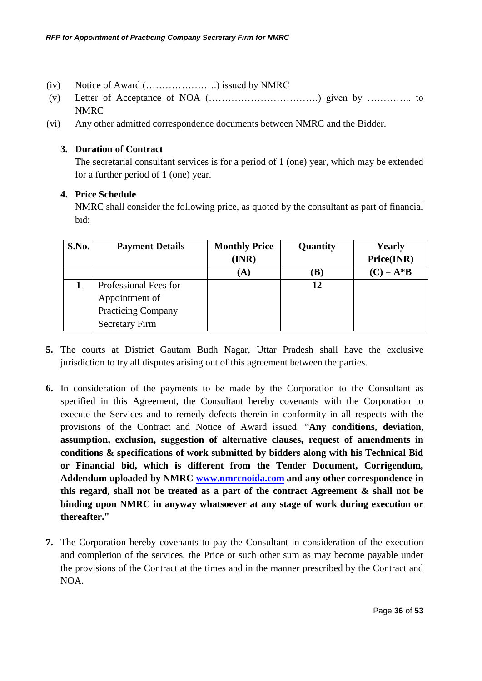- (iv) Notice of Award (………………….) issued by NMRC
- (v) Letter of Acceptance of NOA (…………………………….) given by ………….. to NMRC
- (vi) Any other admitted correspondence documents between NMRC and the Bidder.

## **3. Duration of Contract**

The secretarial consultant services is for a period of 1 (one) year, which may be extended for a further period of 1 (one) year.

#### **4. Price Schedule**

NMRC shall consider the following price, as quoted by the consultant as part of financial bid:

| S.No. | <b>Payment Details</b>    | <b>Monthly Price</b><br>Quantity |     | <b>Yearly</b> |  |  |
|-------|---------------------------|----------------------------------|-----|---------------|--|--|
|       |                           | (INR)                            |     | Price(INR)    |  |  |
|       |                           | (A)                              | (B) | $(C) = A * B$ |  |  |
|       | Professional Fees for     |                                  | 12  |               |  |  |
|       | Appointment of            |                                  |     |               |  |  |
|       | <b>Practicing Company</b> |                                  |     |               |  |  |
|       | <b>Secretary Firm</b>     |                                  |     |               |  |  |

- **5.** The courts at District Gautam Budh Nagar, Uttar Pradesh shall have the exclusive jurisdiction to try all disputes arising out of this agreement between the parties.
- **6.** In consideration of the payments to be made by the Corporation to the Consultant as specified in this Agreement, the Consultant hereby covenants with the Corporation to execute the Services and to remedy defects therein in conformity in all respects with the provisions of the Contract and Notice of Award issued. "**Any conditions, deviation, assumption, exclusion, suggestion of alternative clauses, request of amendments in conditions & specifications of work submitted by bidders along with his Technical Bid or Financial bid, which is different from the Tender Document, Corrigendum, Addendum uploaded by NMRC [www.nmrcnoida.com](http://www.nmrcnoida.com/) and any other correspondence in this regard, shall not be treated as a part of the contract Agreement & shall not be binding upon NMRC in anyway whatsoever at any stage of work during execution or thereafter."**
- **7.** The Corporation hereby covenants to pay the Consultant in consideration of the execution and completion of the services, the Price or such other sum as may become payable under the provisions of the Contract at the times and in the manner prescribed by the Contract and NOA.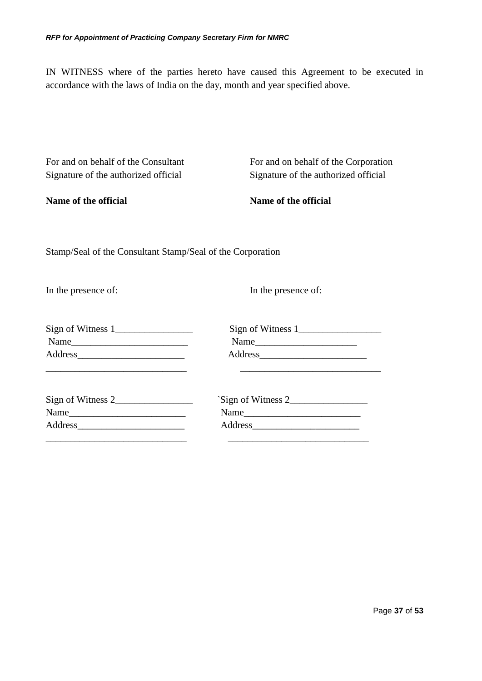IN WITNESS where of the parties hereto have caused this Agreement to be executed in accordance with the laws of India on the day, month and year specified above.

| For and on behalf of the Consultant<br>Signature of the authorized official | For and on behalf of the Corporation<br>Signature of the authorized official |
|-----------------------------------------------------------------------------|------------------------------------------------------------------------------|
| Name of the official                                                        | Name of the official                                                         |
| Stamp/Seal of the Consultant Stamp/Seal of the Corporation                  |                                                                              |
| In the presence of:                                                         | In the presence of:                                                          |
| Name                                                                        |                                                                              |
| Name                                                                        | Sign of Witness 2<br>Name                                                    |
|                                                                             |                                                                              |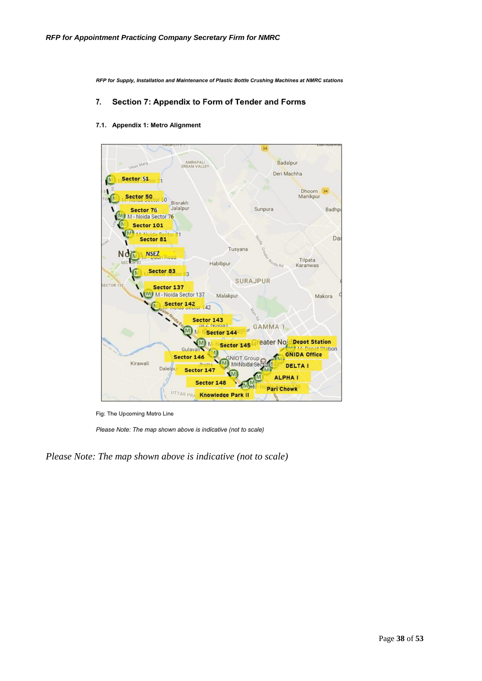RFP for Supply, Installation and Maintenance of Plastic Bottle Crushing Machines at NMRC stations

#### 7. Section 7: Appendix to Form of Tender and Forms

#### 7.1. Appendix 1: Metro Alignment



Fig: The Upcoming Metro Line

Please Note: The map shown above is indicative (not to scale)

*Please Note: The map shown above is indicative (not to scale)*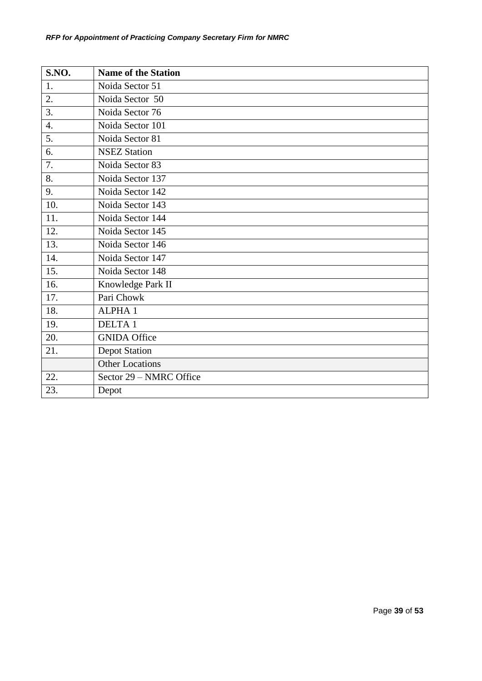| S.NO.            | <b>Name of the Station</b> |
|------------------|----------------------------|
| 1.               | Noida Sector 51            |
| 2.               | Noida Sector 50            |
| 3.               | Noida Sector 76            |
| $\overline{4}$ . | Noida Sector 101           |
| 5.               | Noida Sector 81            |
| 6.               | <b>NSEZ Station</b>        |
| 7.               | Noida Sector 83            |
| 8.               | Noida Sector 137           |
| 9.               | Noida Sector 142           |
| 10.              | Noida Sector 143           |
| 11.              | Noida Sector 144           |
| 12.              | Noida Sector 145           |
| 13.              | Noida Sector 146           |
| 14.              | Noida Sector 147           |
| 15.              | Noida Sector 148           |
| 16.              | Knowledge Park II          |
| 17.              | Pari Chowk                 |
| 18.              | <b>ALPHA1</b>              |
| 19.              | <b>DELTA1</b>              |
| 20.              | <b>GNIDA Office</b>        |
| 21.              | <b>Depot Station</b>       |
|                  | <b>Other Locations</b>     |
| 22.              | Sector 29 - NMRC Office    |
| 23.              | Depot                      |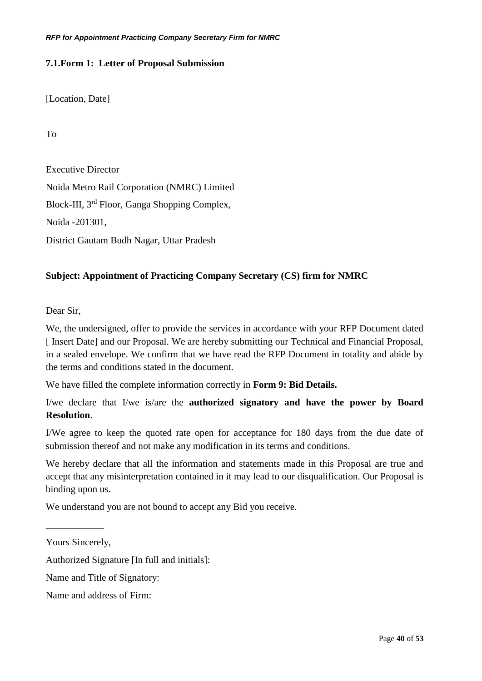## <span id="page-39-0"></span>**7.1.Form 1: Letter of Proposal Submission**

[Location, Date]

To

Executive Director Noida Metro Rail Corporation (NMRC) Limited Block-III, 3rd Floor, Ganga Shopping Complex, Noida -201301, District Gautam Budh Nagar, Uttar Pradesh

## **Subject: Appointment of Practicing Company Secretary (CS) firm for NMRC**

Dear Sir,

We, the undersigned, offer to provide the services in accordance with your RFP Document dated [Insert Date] and our Proposal. We are hereby submitting our Technical and Financial Proposal, in a sealed envelope. We confirm that we have read the RFP Document in totality and abide by the terms and conditions stated in the document.

We have filled the complete information correctly in **Form 9: Bid Details.**

I/we declare that I/we is/are the **authorized signatory and have the power by Board Resolution**.

I/We agree to keep the quoted rate open for acceptance for 180 days from the due date of submission thereof and not make any modification in its terms and conditions.

We hereby declare that all the information and statements made in this Proposal are true and accept that any misinterpretation contained in it may lead to our disqualification. Our Proposal is binding upon us.

We understand you are not bound to accept any Bid you receive.

\_\_\_\_\_\_\_\_\_\_\_\_

Authorized Signature [In full and initials]:

Yours Sincerely,

Name and Title of Signatory:

Name and address of Firm: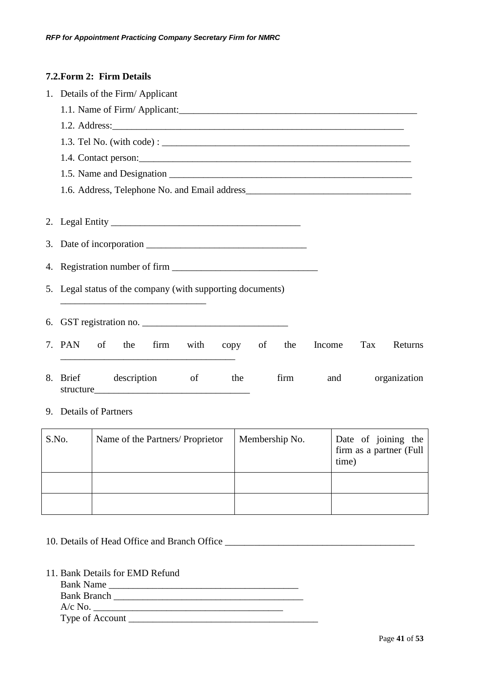## <span id="page-40-0"></span>**7.2.Form 2: Firm Details**

| 1. Details of the Firm/Applicant                                               |  |  |  |  |  |  |  |  |  |  |  |
|--------------------------------------------------------------------------------|--|--|--|--|--|--|--|--|--|--|--|
|                                                                                |  |  |  |  |  |  |  |  |  |  |  |
|                                                                                |  |  |  |  |  |  |  |  |  |  |  |
|                                                                                |  |  |  |  |  |  |  |  |  |  |  |
|                                                                                |  |  |  |  |  |  |  |  |  |  |  |
|                                                                                |  |  |  |  |  |  |  |  |  |  |  |
|                                                                                |  |  |  |  |  |  |  |  |  |  |  |
|                                                                                |  |  |  |  |  |  |  |  |  |  |  |
|                                                                                |  |  |  |  |  |  |  |  |  |  |  |
|                                                                                |  |  |  |  |  |  |  |  |  |  |  |
|                                                                                |  |  |  |  |  |  |  |  |  |  |  |
| 5. Legal status of the company (with supporting documents)                     |  |  |  |  |  |  |  |  |  |  |  |
|                                                                                |  |  |  |  |  |  |  |  |  |  |  |
| 6. GST registration no.                                                        |  |  |  |  |  |  |  |  |  |  |  |
| 7. PAN of<br>firm<br>the<br>with<br>copy of<br>the<br>Income<br>Tax<br>Returns |  |  |  |  |  |  |  |  |  |  |  |
| 8. Brief description<br>of<br>firm<br>organization<br>the<br>and               |  |  |  |  |  |  |  |  |  |  |  |

## 9. Details of Partners

| S.No. | Name of the Partners/ Proprietor | Membership No. | Date of joining the<br>firm as a partner (Full<br>time) |
|-------|----------------------------------|----------------|---------------------------------------------------------|
|       |                                  |                |                                                         |
|       |                                  |                |                                                         |

# 10. Details of Head Office and Branch Office \_\_\_\_\_\_\_\_\_\_\_\_\_\_\_\_\_\_\_\_\_\_\_\_\_\_\_\_\_\_\_\_\_\_\_

11. Bank Details for EMD Refund

| <b>Bank Name</b>   |  |
|--------------------|--|
| <b>Bank Branch</b> |  |
| $A/c$ No.          |  |
| Type of Account    |  |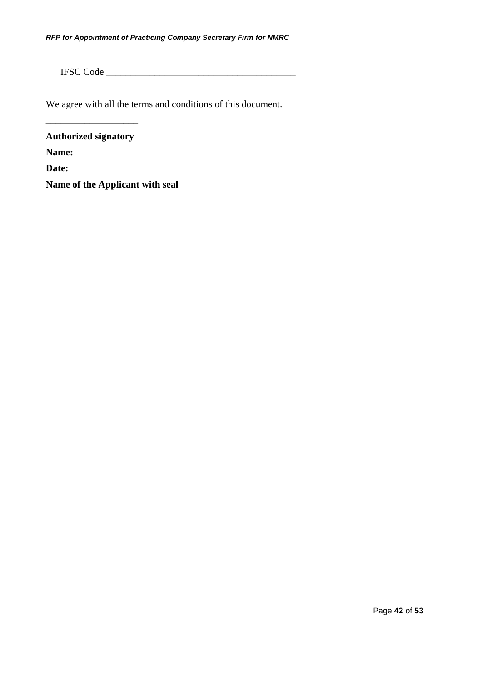IFSC Code \_\_\_\_\_\_\_\_\_\_\_\_\_\_\_\_\_\_\_\_\_\_\_\_\_\_\_\_\_\_\_\_\_\_\_\_\_\_\_

We agree with all the terms and conditions of this document.

**Authorized signatory Name: Date:** 

**\_\_\_\_\_\_\_\_\_\_\_\_\_\_\_\_\_\_\_**

**Name of the Applicant with seal**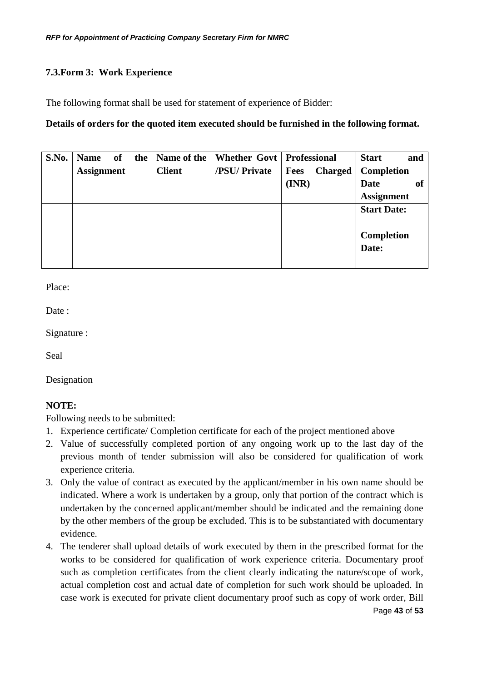## <span id="page-42-0"></span>**7.3.Form 3: Work Experience**

The following format shall be used for statement of experience of Bidder:

## **Details of orders for the quoted item executed should be furnished in the following format.**

| S.No. | <b>Name</b>       | of | the |               | Name of the   Whether Govt   Professional |                               | <b>Start</b><br>and |
|-------|-------------------|----|-----|---------------|-------------------------------------------|-------------------------------|---------------------|
|       | <b>Assignment</b> |    |     | <b>Client</b> | /PSU/ Private                             | <b>Charged</b><br><b>Fees</b> | Completion          |
|       |                   |    |     |               |                                           | (INR)                         | of<br><b>Date</b>   |
|       |                   |    |     |               |                                           |                               | <b>Assignment</b>   |
|       |                   |    |     |               |                                           |                               | <b>Start Date:</b>  |
|       |                   |    |     |               |                                           |                               |                     |
|       |                   |    |     |               |                                           |                               | <b>Completion</b>   |
|       |                   |    |     |               |                                           |                               | Date:               |
|       |                   |    |     |               |                                           |                               |                     |

Place:

Date:

Signature :

Seal

Designation

## **NOTE:**

Following needs to be submitted:

- 1. Experience certificate/ Completion certificate for each of the project mentioned above
- 2. Value of successfully completed portion of any ongoing work up to the last day of the previous month of tender submission will also be considered for qualification of work experience criteria.
- 3. Only the value of contract as executed by the applicant/member in his own name should be indicated. Where a work is undertaken by a group, only that portion of the contract which is undertaken by the concerned applicant/member should be indicated and the remaining done by the other members of the group be excluded. This is to be substantiated with documentary evidence.
- Page **43** of **53** 4. The tenderer shall upload details of work executed by them in the prescribed format for the works to be considered for qualification of work experience criteria. Documentary proof such as completion certificates from the client clearly indicating the nature/scope of work, actual completion cost and actual date of completion for such work should be uploaded. In case work is executed for private client documentary proof such as copy of work order, Bill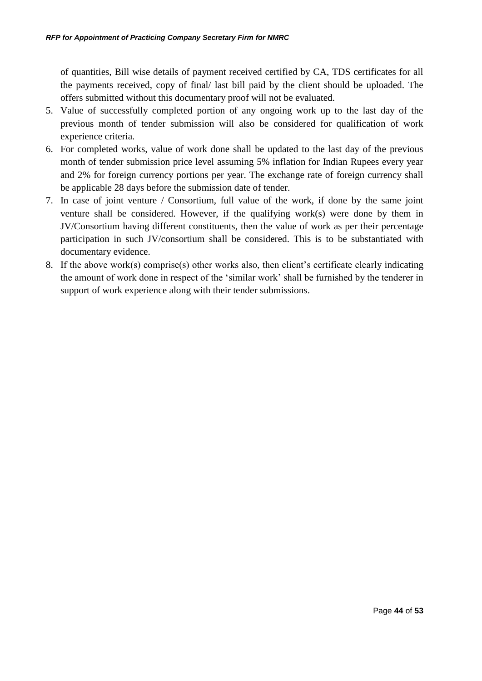of quantities, Bill wise details of payment received certified by CA, TDS certificates for all the payments received, copy of final/ last bill paid by the client should be uploaded. The offers submitted without this documentary proof will not be evaluated.

- 5. Value of successfully completed portion of any ongoing work up to the last day of the previous month of tender submission will also be considered for qualification of work experience criteria.
- 6. For completed works, value of work done shall be updated to the last day of the previous month of tender submission price level assuming 5% inflation for Indian Rupees every year and 2% for foreign currency portions per year. The exchange rate of foreign currency shall be applicable 28 days before the submission date of tender.
- 7. In case of joint venture / Consortium, full value of the work, if done by the same joint venture shall be considered. However, if the qualifying work(s) were done by them in JV/Consortium having different constituents, then the value of work as per their percentage participation in such JV/consortium shall be considered. This is to be substantiated with documentary evidence.
- 8. If the above work(s) comprise(s) other works also, then client's certificate clearly indicating the amount of work done in respect of the 'similar work' shall be furnished by the tenderer in support of work experience along with their tender submissions.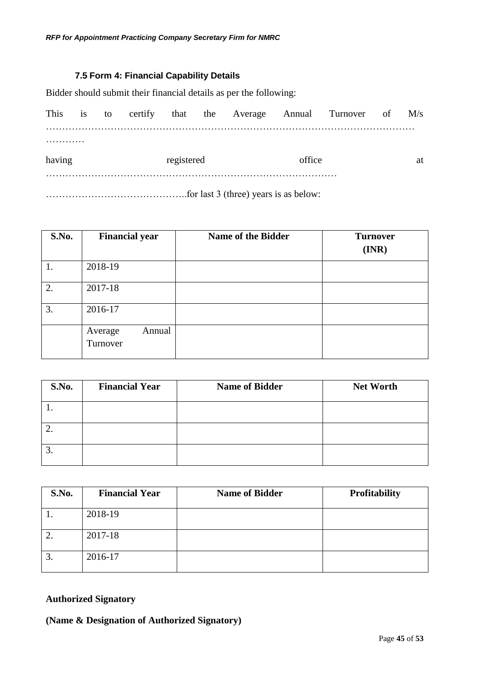## **7.5 Form 4: Financial Capability Details**

<span id="page-44-0"></span>Bidder should submit their financial details as per the following:

|        |  |            |  |  |                                                                                                                                              |        | This is to certify that the Average Annual Turnover of M/s |  |    |
|--------|--|------------|--|--|----------------------------------------------------------------------------------------------------------------------------------------------|--------|------------------------------------------------------------|--|----|
| .      |  |            |  |  |                                                                                                                                              |        |                                                            |  |    |
| having |  | registered |  |  |                                                                                                                                              | office |                                                            |  | at |
|        |  |            |  |  | $\mathcal{L}$ of $\mathcal{L}$ and $\mathcal{L}$ and $\mathcal{L}$ and $\mathcal{L}$ are so that is a set of $\mathcal{L}$ and $\mathcal{L}$ |        |                                                            |  |    |

……………………………………..for last 3 (three) years is as below:

| <b>S.No.</b> | <b>Financial year</b>         | <b>Name of the Bidder</b> | <b>Turnover</b><br>$(\mathbf{INR})$ |
|--------------|-------------------------------|---------------------------|-------------------------------------|
|              |                               |                           |                                     |
| 1.           | 2018-19                       |                           |                                     |
| 2.           | 2017-18                       |                           |                                     |
| 3.           | 2016-17                       |                           |                                     |
|              | Annual<br>Average<br>Turnover |                           |                                     |

| S.No. | <b>Financial Year</b> | <b>Name of Bidder</b> | <b>Net Worth</b> |
|-------|-----------------------|-----------------------|------------------|
|       |                       |                       |                  |
| ۷.    |                       |                       |                  |
| J.    |                       |                       |                  |

| S.No.    | <b>Financial Year</b> | <b>Name of Bidder</b> | <b>Profitability</b> |
|----------|-----------------------|-----------------------|----------------------|
|          | 2018-19               |                       |                      |
|          | 2017-18               |                       |                      |
| ⌒<br>.ບ. | 2016-17               |                       |                      |

## **Authorized Signatory**

**(Name & Designation of Authorized Signatory)**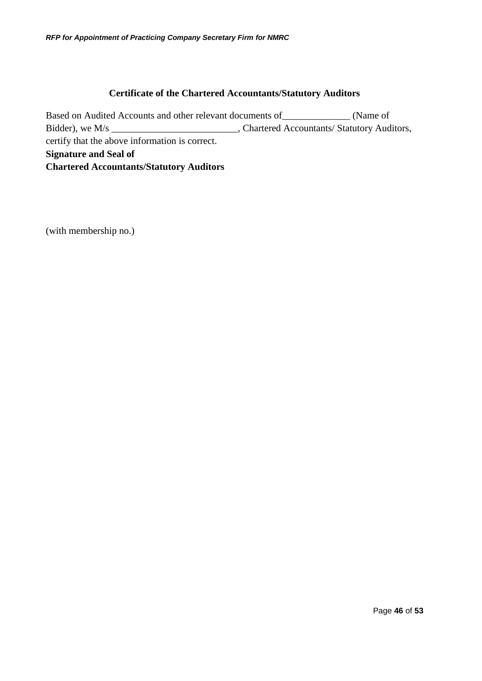## **Certificate of the Chartered Accountants/Statutory Auditors**

Based on Audited Accounts and other relevant documents of\_\_\_\_\_\_\_\_\_\_\_\_\_\_ (Name of Bidder), we M/s \_\_\_\_\_\_\_\_\_\_\_\_\_\_\_\_\_\_\_\_\_\_\_\_\_\_\_, Chartered Accountants/ Statutory Auditors, certify that the above information is correct. **Signature and Seal of Chartered Accountants/Statutory Auditors**

(with membership no.)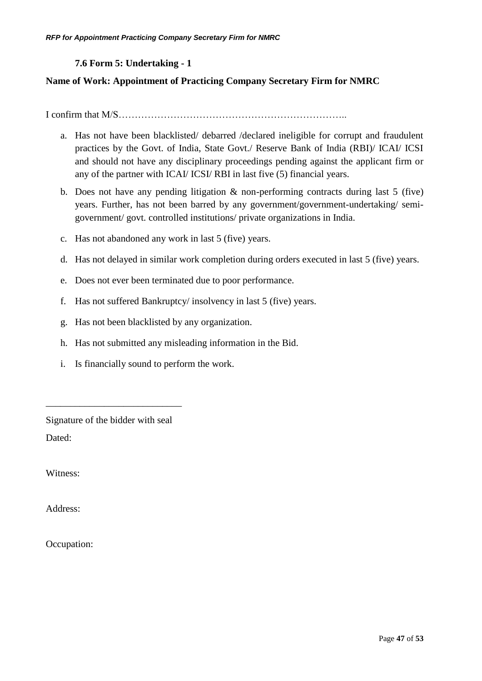## **7.6 Form 5: Undertaking - 1**

## <span id="page-46-0"></span>**Name of Work: Appointment of Practicing Company Secretary Firm for NMRC**

I confirm that M/S……………………………………………………………..

- a. Has not have been blacklisted/ debarred /declared ineligible for corrupt and fraudulent practices by the Govt. of India, State Govt./ Reserve Bank of India (RBI)/ ICAI/ ICSI and should not have any disciplinary proceedings pending against the applicant firm or any of the partner with ICAI/ ICSI/ RBI in last five (5) financial years.
- b. Does not have any pending litigation & non-performing contracts during last 5 (five) years. Further, has not been barred by any government/government-undertaking/ semigovernment/ govt. controlled institutions/ private organizations in India.
- c. Has not abandoned any work in last 5 (five) years.
- d. Has not delayed in similar work completion during orders executed in last 5 (five) years.
- e. Does not ever been terminated due to poor performance.
- f. Has not suffered Bankruptcy/ insolvency in last 5 (five) years.
- g. Has not been blacklisted by any organization.
- h. Has not submitted any misleading information in the Bid.
- i. Is financially sound to perform the work.

Signature of the bidder with seal

\_\_\_\_\_\_\_\_\_\_\_\_\_\_\_\_\_\_\_\_\_\_\_\_\_\_\_\_

Dated:

Witness:

Address:

Occupation: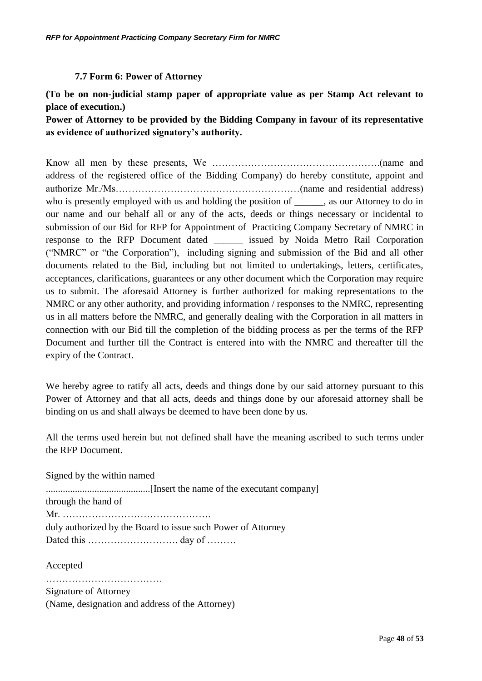## **7.7 Form 6: Power of Attorney**

<span id="page-47-0"></span>**(To be on non-judicial stamp paper of appropriate value as per Stamp Act relevant to place of execution.)**

**Power of Attorney to be provided by the Bidding Company in favour of its representative as evidence of authorized signatory's authority.**

Know all men by these presents, We …………………………………………….(name and address of the registered office of the Bidding Company) do hereby constitute, appoint and authorize Mr./Ms…………………………………………………(name and residential address) who is presently employed with us and holding the position of each case our Attorney to do in our name and our behalf all or any of the acts, deeds or things necessary or incidental to submission of our Bid for RFP for Appointment of Practicing Company Secretary of NMRC in response to the RFP Document dated issued by Noida Metro Rail Corporation ("NMRC" or "the Corporation"), including signing and submission of the Bid and all other documents related to the Bid, including but not limited to undertakings, letters, certificates, acceptances, clarifications, guarantees or any other document which the Corporation may require us to submit. The aforesaid Attorney is further authorized for making representations to the NMRC or any other authority, and providing information / responses to the NMRC, representing us in all matters before the NMRC, and generally dealing with the Corporation in all matters in connection with our Bid till the completion of the bidding process as per the terms of the RFP Document and further till the Contract is entered into with the NMRC and thereafter till the expiry of the Contract.

We hereby agree to ratify all acts, deeds and things done by our said attorney pursuant to this Power of Attorney and that all acts, deeds and things done by our aforesaid attorney shall be binding on us and shall always be deemed to have been done by us.

All the terms used herein but not defined shall have the meaning ascribed to such terms under the RFP Document.

Signed by the within named ...........................................[Insert the name of the executant company] through the hand of Mr. ………………………………………. duly authorized by the Board to issue such Power of Attorney Dated this ………………………. day of ………

Accepted

……………………………… Signature of Attorney (Name, designation and address of the Attorney)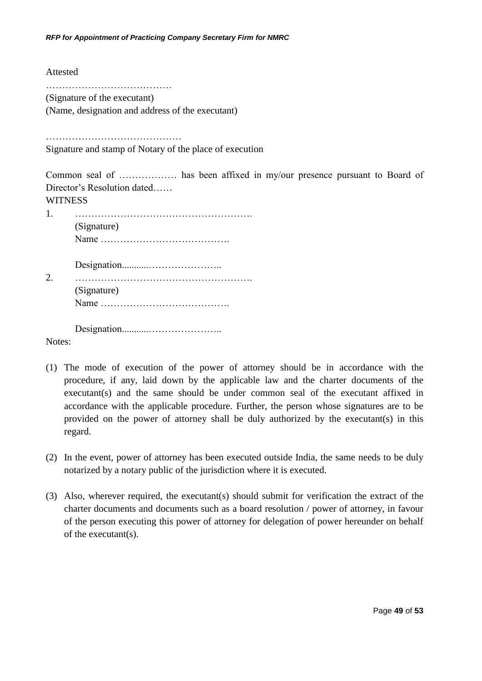Attested

…………………………………

(Signature of the executant)

(Name, designation and address of the executant)

……………………………………

Signature and stamp of Notary of the place of execution

Common seal of ……………… has been affixed in my/our presence pursuant to Board of Director's Resolution dated……

**WITNESS** 

|                             | (Signature) |
|-----------------------------|-------------|
| $\mathcal{D}_{\mathcal{L}}$ | (Signature) |
|                             |             |

Notes:

- (1) The mode of execution of the power of attorney should be in accordance with the procedure, if any, laid down by the applicable law and the charter documents of the executant(s) and the same should be under common seal of the executant affixed in accordance with the applicable procedure. Further, the person whose signatures are to be provided on the power of attorney shall be duly authorized by the executant(s) in this regard.
- (2) In the event, power of attorney has been executed outside India, the same needs to be duly notarized by a notary public of the jurisdiction where it is executed.
- (3) Also, wherever required, the executant(s) should submit for verification the extract of the charter documents and documents such as a board resolution / power of attorney, in favour of the person executing this power of attorney for delegation of power hereunder on behalf of the executant(s).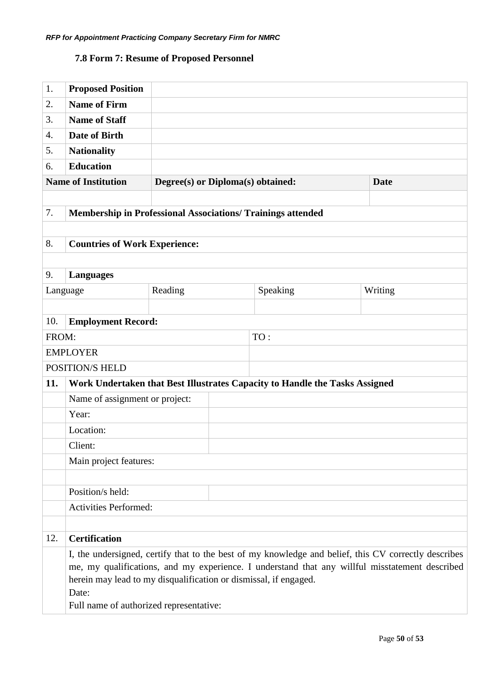## <span id="page-49-0"></span>**7.8 Form 7: Resume of Proposed Personnel**

| 1.       | <b>Proposed Position</b>                                                                                                                                                                               |                                   |  |                                                                             |  |         |
|----------|--------------------------------------------------------------------------------------------------------------------------------------------------------------------------------------------------------|-----------------------------------|--|-----------------------------------------------------------------------------|--|---------|
| 2.       | <b>Name of Firm</b>                                                                                                                                                                                    |                                   |  |                                                                             |  |         |
| 3.       | <b>Name of Staff</b>                                                                                                                                                                                   |                                   |  |                                                                             |  |         |
| 4.       | <b>Date of Birth</b>                                                                                                                                                                                   |                                   |  |                                                                             |  |         |
| 5.       | <b>Nationality</b>                                                                                                                                                                                     |                                   |  |                                                                             |  |         |
| 6.       | <b>Education</b>                                                                                                                                                                                       |                                   |  |                                                                             |  |         |
|          | <b>Name of Institution</b>                                                                                                                                                                             | Degree(s) or Diploma(s) obtained: |  | <b>Date</b>                                                                 |  |         |
|          |                                                                                                                                                                                                        |                                   |  |                                                                             |  |         |
| 7.       | <b>Membership in Professional Associations/ Trainings attended</b>                                                                                                                                     |                                   |  |                                                                             |  |         |
|          |                                                                                                                                                                                                        |                                   |  |                                                                             |  |         |
| 8.       | <b>Countries of Work Experience:</b>                                                                                                                                                                   |                                   |  |                                                                             |  |         |
|          |                                                                                                                                                                                                        |                                   |  |                                                                             |  |         |
| 9.       | <b>Languages</b>                                                                                                                                                                                       |                                   |  |                                                                             |  |         |
| Language |                                                                                                                                                                                                        | Reading                           |  | Speaking                                                                    |  | Writing |
|          |                                                                                                                                                                                                        |                                   |  |                                                                             |  |         |
| 10.      | <b>Employment Record:</b>                                                                                                                                                                              |                                   |  |                                                                             |  |         |
| FROM:    |                                                                                                                                                                                                        |                                   |  | TO:                                                                         |  |         |
|          | <b>EMPLOYER</b>                                                                                                                                                                                        |                                   |  |                                                                             |  |         |
|          | POSITION/S HELD                                                                                                                                                                                        |                                   |  |                                                                             |  |         |
| 11.      |                                                                                                                                                                                                        |                                   |  | Work Undertaken that Best Illustrates Capacity to Handle the Tasks Assigned |  |         |
|          | Name of assignment or project:                                                                                                                                                                         |                                   |  |                                                                             |  |         |
|          | Year:                                                                                                                                                                                                  |                                   |  |                                                                             |  |         |
|          | Location:                                                                                                                                                                                              |                                   |  |                                                                             |  |         |
|          | Client:                                                                                                                                                                                                |                                   |  |                                                                             |  |         |
|          | Main project features:                                                                                                                                                                                 |                                   |  |                                                                             |  |         |
|          |                                                                                                                                                                                                        |                                   |  |                                                                             |  |         |
|          | Position/s held:                                                                                                                                                                                       |                                   |  |                                                                             |  |         |
|          | <b>Activities Performed:</b>                                                                                                                                                                           |                                   |  |                                                                             |  |         |
|          |                                                                                                                                                                                                        |                                   |  |                                                                             |  |         |
| 12.      | <b>Certification</b>                                                                                                                                                                                   |                                   |  |                                                                             |  |         |
|          | I, the undersigned, certify that to the best of my knowledge and belief, this CV correctly describes<br>me, my qualifications, and my experience. I understand that any willful misstatement described |                                   |  |                                                                             |  |         |
|          | herein may lead to my disqualification or dismissal, if engaged.                                                                                                                                       |                                   |  |                                                                             |  |         |
|          | Date:                                                                                                                                                                                                  |                                   |  |                                                                             |  |         |
|          | Full name of authorized representative:                                                                                                                                                                |                                   |  |                                                                             |  |         |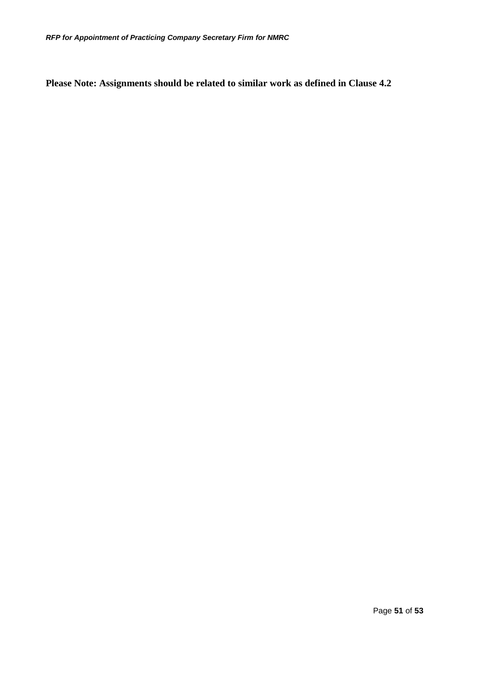**Please Note: Assignments should be related to similar work as defined in Clause [4.2](#page-22-0)**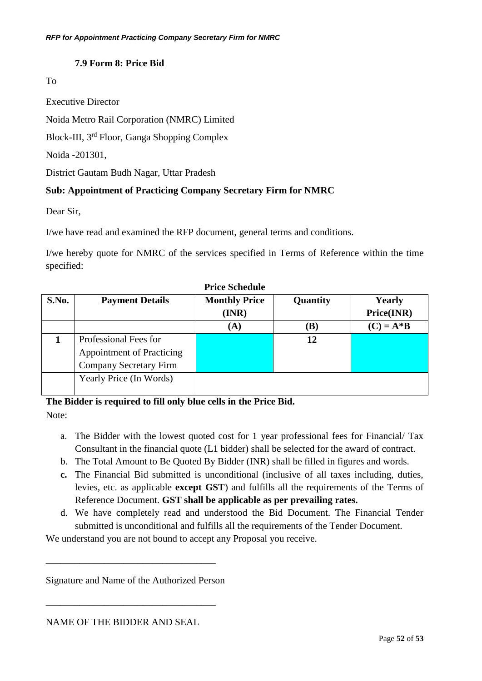## **7.9 Form 8: Price Bid**

## To

Executive Director

Noida Metro Rail Corporation (NMRC) Limited

Block-III, 3rd Floor, Ganga Shopping Complex

Noida -201301,

District Gautam Budh Nagar, Uttar Pradesh

## **Sub: Appointment of Practicing Company Secretary Firm for NMRC**

Dear Sir,

I/we have read and examined the RFP document, general terms and conditions.

I/we hereby quote for NMRC of the services specified in Terms of Reference within the time specified:

| T TICC DURUATIO |                                  |                      |          |               |  |  |
|-----------------|----------------------------------|----------------------|----------|---------------|--|--|
| S.No.           | <b>Payment Details</b>           | <b>Monthly Price</b> | Quantity | <b>Yearly</b> |  |  |
|                 |                                  | (INR)                |          | Price(INR)    |  |  |
|                 |                                  | (A)                  | (B)      | $(C) = A*B$   |  |  |
|                 | Professional Fees for            |                      | 12       |               |  |  |
|                 | <b>Appointment of Practicing</b> |                      |          |               |  |  |
|                 | <b>Company Secretary Firm</b>    |                      |          |               |  |  |
|                 | Yearly Price (In Words)          |                      |          |               |  |  |
|                 |                                  |                      |          |               |  |  |

**Price Schedule**

**The Bidder is required to fill only blue cells in the Price Bid.**

Note:

- a. The Bidder with the lowest quoted cost for 1 year professional fees for Financial/ Tax Consultant in the financial quote (L1 bidder) shall be selected for the award of contract.
- b. The Total Amount to Be Quoted By Bidder (INR) shall be filled in figures and words.
- **c.** The Financial Bid submitted is unconditional (inclusive of all taxes including, duties, levies, etc. as applicable **except GST**) and fulfills all the requirements of the Terms of Reference Document. **GST shall be applicable as per prevailing rates.**
- d. We have completely read and understood the Bid Document. The Financial Tender submitted is unconditional and fulfills all the requirements of the Tender Document.

We understand you are not bound to accept any Proposal you receive.

Signature and Name of the Authorized Person

\_\_\_\_\_\_\_\_\_\_\_\_\_\_\_\_\_\_\_\_\_\_\_\_\_\_\_\_\_\_\_\_\_\_\_

\_\_\_\_\_\_\_\_\_\_\_\_\_\_\_\_\_\_\_\_\_\_\_\_\_\_\_\_\_\_\_\_\_\_\_